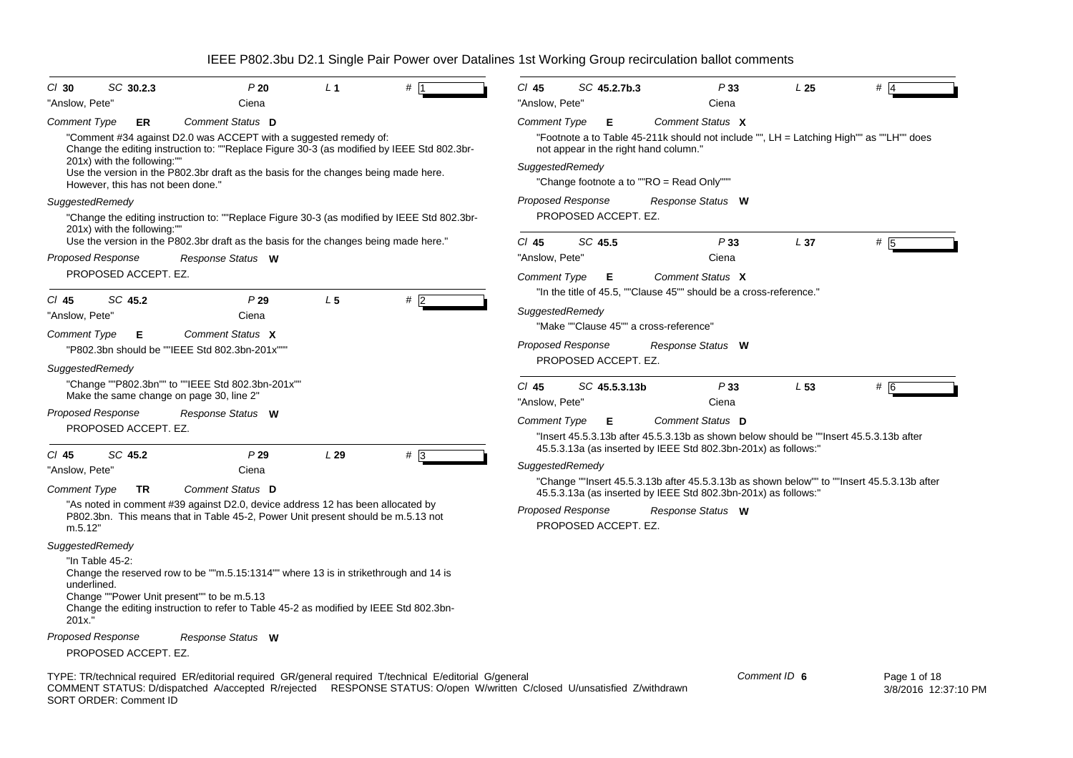| SC 30.2.3<br>$Cl$ 30<br>"Anslow, Pete"                                                                                                                                                                                                                              | P20<br>Ciena              | L <sub>1</sub> | #            | $Cl$ 45<br>"Anslow, Pete" | SC 45.2.7b.3         | Ciena                                                                                                                                                    | P33          | L <sub>25</sub> | #                                                                                          |
|---------------------------------------------------------------------------------------------------------------------------------------------------------------------------------------------------------------------------------------------------------------------|---------------------------|----------------|--------------|---------------------------|----------------------|----------------------------------------------------------------------------------------------------------------------------------------------------------|--------------|-----------------|--------------------------------------------------------------------------------------------|
| Comment Type<br>ER                                                                                                                                                                                                                                                  | Comment Status D          |                |              | Comment Type              | Е                    | Comment Status X                                                                                                                                         |              |                 |                                                                                            |
| "Comment #34 against D2.0 was ACCEPT with a suggested remedy of:<br>Change the editing instruction to: ""Replace Figure 30-3 (as modified by IEEE Std 802.3br-                                                                                                      |                           |                |              |                           |                      | "Footnote a to Table 45-211k should not include "", LH = Latching High"" as ""LH"" does<br>not appear in the right hand column."                         |              |                 |                                                                                            |
| 201x) with the following:""                                                                                                                                                                                                                                         |                           |                |              | SuggestedRemedy           |                      |                                                                                                                                                          |              |                 |                                                                                            |
| Use the version in the P802.3br draft as the basis for the changes being made here.<br>However, this has not been done."                                                                                                                                            |                           |                |              |                           |                      | "Change footnote a to ""RO = Read Only"""                                                                                                                |              |                 |                                                                                            |
| SuggestedRemedy                                                                                                                                                                                                                                                     |                           |                |              | Proposed Response         |                      | Response Status W                                                                                                                                        |              |                 |                                                                                            |
| "Change the editing instruction to: ""Replace Figure 30-3 (as modified by IEEE Std 802.3br-<br>201x) with the following:""                                                                                                                                          |                           |                |              |                           | PROPOSED ACCEPT. EZ. |                                                                                                                                                          |              |                 |                                                                                            |
| Use the version in the P802.3br draft as the basis for the changes being made here."<br><b>Proposed Response</b>                                                                                                                                                    |                           |                |              | $Cl$ 45<br>"Anslow, Pete" | SC 45.5              | Ciena                                                                                                                                                    | P33          | L <sub>37</sub> | #                                                                                          |
| PROPOSED ACCEPT. EZ.                                                                                                                                                                                                                                                | Response Status W         |                |              |                           |                      |                                                                                                                                                          |              |                 |                                                                                            |
|                                                                                                                                                                                                                                                                     |                           |                |              | Comment Type              | Е                    | Comment Status X<br>"In the title of 45.5, ""Clause 45"" should be a cross-reference."                                                                   |              |                 |                                                                                            |
| SC 45.2<br>$CI$ 45                                                                                                                                                                                                                                                  | P29                       | L <sub>5</sub> | $#$ 2        |                           |                      |                                                                                                                                                          |              |                 |                                                                                            |
| "Anslow, Pete"                                                                                                                                                                                                                                                      | Ciena                     |                |              | SuggestedRemedy           |                      |                                                                                                                                                          |              |                 |                                                                                            |
| Comment Type<br>Е                                                                                                                                                                                                                                                   | Comment Status X          |                |              |                           |                      | "Make ""Clause 45"" a cross-reference"                                                                                                                   |              |                 |                                                                                            |
| "P802.3bn should be ""IEEE Std 802.3bn-201x"""                                                                                                                                                                                                                      |                           |                |              | Proposed Response         |                      | Response Status W                                                                                                                                        |              |                 |                                                                                            |
| SuggestedRemedy                                                                                                                                                                                                                                                     |                           |                |              |                           | PROPOSED ACCEPT. EZ. |                                                                                                                                                          |              |                 |                                                                                            |
| "Change ""P802.3bn"" to ""IEEE Std 802.3bn-201x""                                                                                                                                                                                                                   |                           |                |              | $CI$ 45                   | SC 45.5.3.13b        |                                                                                                                                                          | P33          | L53             | # 6                                                                                        |
| Make the same change on page 30, line 2"                                                                                                                                                                                                                            |                           |                |              | "Anslow, Pete"            |                      | Ciena                                                                                                                                                    |              |                 |                                                                                            |
| <b>Proposed Response</b>                                                                                                                                                                                                                                            | Response Status W         |                |              | <b>Comment Type</b>       | Е                    | Comment Status D                                                                                                                                         |              |                 |                                                                                            |
| PROPOSED ACCEPT. EZ.                                                                                                                                                                                                                                                |                           |                |              |                           |                      | "Insert 45.5.3.13b after 45.5.3.13b as shown below should be ""Insert 45.5.3.13b after<br>45.5.3.13a (as inserted by IEEE Std 802.3bn-201x) as follows:" |              |                 |                                                                                            |
| SC 45.2<br>$CI$ 45                                                                                                                                                                                                                                                  | P29                       | L29            | $# \sqrt{3}$ | SuggestedRemedy           |                      |                                                                                                                                                          |              |                 |                                                                                            |
| "Anslow, Pete"<br><b>Comment Type</b><br>TR                                                                                                                                                                                                                         | Ciena<br>Comment Status D |                |              |                           |                      |                                                                                                                                                          |              |                 | "Change ""Insert 45.5.3.13b after 45.5.3.13b as shown below"" to ""Insert 45.5.3.13b after |
| "As noted in comment #39 against D2.0, device address 12 has been allocated by                                                                                                                                                                                      |                           |                |              |                           |                      | 45.5.3.13a (as inserted by IEEE Std 802.3bn-201x) as follows:"                                                                                           |              |                 |                                                                                            |
| P802.3bn. This means that in Table 45-2, Power Unit present should be m.5.13 not<br>m.5.12"                                                                                                                                                                         |                           |                |              | Proposed Response         | PROPOSED ACCEPT. EZ. | Response Status W                                                                                                                                        |              |                 |                                                                                            |
| SuggestedRemedy                                                                                                                                                                                                                                                     |                           |                |              |                           |                      |                                                                                                                                                          |              |                 |                                                                                            |
| "In Table 45-2:<br>Change the reserved row to be ""m.5.15:1314"" where 13 is in strikethrough and 14 is<br>underlined.<br>Change ""Power Unit present"" to be m.5.13                                                                                                |                           |                |              |                           |                      |                                                                                                                                                          |              |                 |                                                                                            |
| Change the editing instruction to refer to Table 45-2 as modified by IEEE Std 802.3bn-<br>201x."                                                                                                                                                                    |                           |                |              |                           |                      |                                                                                                                                                          |              |                 |                                                                                            |
| Proposed Response                                                                                                                                                                                                                                                   | Response Status W         |                |              |                           |                      |                                                                                                                                                          |              |                 |                                                                                            |
| PROPOSED ACCEPT. EZ.                                                                                                                                                                                                                                                |                           |                |              |                           |                      |                                                                                                                                                          |              |                 |                                                                                            |
| TYPE: TR/technical required ER/editorial required GR/general required T/technical E/editorial G/general<br>COMMENT STATUS: D/dispatched A/accepted R/rejected RESPONSE STATUS: O/open W/written C/closed U/unsatisfied Z/withdrawn<br><b>SORT ORDER: Comment ID</b> |                           |                |              |                           |                      |                                                                                                                                                          | Comment ID 6 |                 | Page 1 of 18<br>3/8/2016 12:37:10 PM                                                       |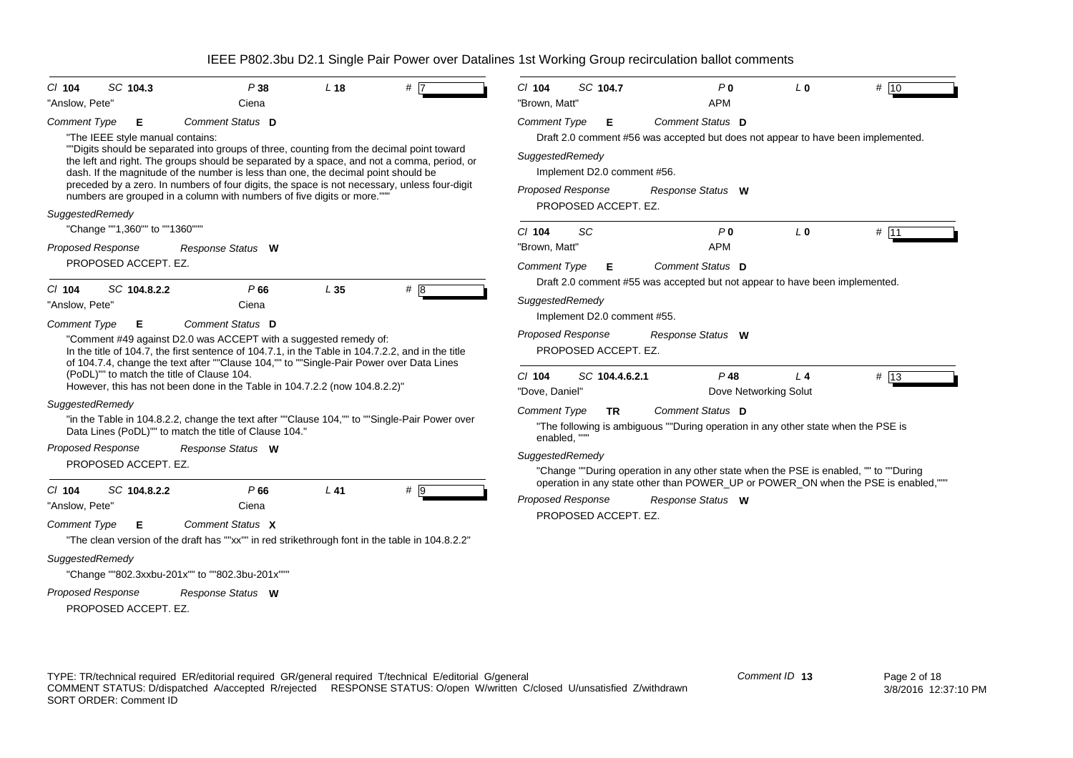|                            | SC 104.3                                   | P38                                                                                                                                                                                                                                                                                                                                             | L <sub>18</sub> |                                                                                            | $Cl$ 104                                               | SC 104.7                               | P <sub>0</sub>                                                                                          | $L_0$          |      |
|----------------------------|--------------------------------------------|-------------------------------------------------------------------------------------------------------------------------------------------------------------------------------------------------------------------------------------------------------------------------------------------------------------------------------------------------|-----------------|--------------------------------------------------------------------------------------------|--------------------------------------------------------|----------------------------------------|---------------------------------------------------------------------------------------------------------|----------------|------|
| $CI$ 104<br>"Anslow, Pete" |                                            | Ciena                                                                                                                                                                                                                                                                                                                                           |                 | #                                                                                          | "Brown, Matt"                                          |                                        | <b>APM</b>                                                                                              |                | # 10 |
| <b>Comment Type</b>        | Е<br>"The IEEE style manual contains:      | Comment Status D<br>""Digits should be separated into groups of three, counting from the decimal point toward                                                                                                                                                                                                                                   |                 | the left and right. The groups should be separated by a space, and not a comma, period, or | <b>Comment Type</b><br>SuggestedRemedy                 | Е                                      | Comment Status D<br>Draft 2.0 comment #56 was accepted but does not appear to have been implemented.    |                |      |
|                            |                                            | dash. If the magnitude of the number is less than one, the decimal point should be<br>preceded by a zero. In numbers of four digits, the space is not necessary, unless four-digit<br>numbers are grouped in a column with numbers of five digits or more.""                                                                                    |                 |                                                                                            | <b>Proposed Response</b>                               | Implement D2.0 comment #56.            | Response Status W                                                                                       |                |      |
| SuggestedRemedy            |                                            |                                                                                                                                                                                                                                                                                                                                                 |                 |                                                                                            |                                                        | PROPOSED ACCEPT. EZ.                   |                                                                                                         |                |      |
|                            | "Change ""1,360"" to ""1360"""             |                                                                                                                                                                                                                                                                                                                                                 |                 |                                                                                            | $Cl$ 104                                               | <b>SC</b>                              | P <sub>0</sub>                                                                                          | L <sub>0</sub> | # 11 |
| <b>Proposed Response</b>   |                                            | Response Status W                                                                                                                                                                                                                                                                                                                               |                 |                                                                                            | "Brown, Matt"                                          |                                        | <b>APM</b>                                                                                              |                |      |
|                            | PROPOSED ACCEPT. EZ.                       |                                                                                                                                                                                                                                                                                                                                                 |                 |                                                                                            | Comment Type                                           | Е                                      | Comment Status D<br>Draft 2.0 comment #55 was accepted but not appear to have been implemented.         |                |      |
| $CI$ 104                   | SC 104.8.2.2                               | P66                                                                                                                                                                                                                                                                                                                                             | L <sub>35</sub> | # 8                                                                                        | SuggestedRemedy                                        |                                        |                                                                                                         |                |      |
| "Anslow, Pete"             |                                            | Ciena                                                                                                                                                                                                                                                                                                                                           |                 |                                                                                            |                                                        | Implement D2.0 comment #55.            |                                                                                                         |                |      |
|                            | (PoDL)"" to match the title of Clause 104. | "Comment #49 against D2.0 was ACCEPT with a suggested remedy of:<br>In the title of 104.7, the first sentence of 104.7.1, in the Table in 104.7.2.2, and in the title<br>of 104.7.4, change the text after ""Clause 104,"" to ""Single-Pair Power over Data Lines<br>However, this has not been done in the Table in 104.7.2.2 (now 104.8.2.2)" |                 |                                                                                            | <b>Proposed Response</b><br>$Cl$ 104<br>"Dove, Daniel" | PROPOSED ACCEPT. EZ.<br>SC 104.4.6.2.1 | Response Status W<br>$P$ 48<br>Dove Networking Solut                                                    | $L$ 4          | # 13 |
| SuggestedRemedy            |                                            | "in the Table in 104.8.2.2, change the text after ""Clause 104,"" to ""Single-Pair Power over<br>Data Lines (PoDL)"" to match the title of Clause 104."                                                                                                                                                                                         |                 |                                                                                            | <b>Comment Type</b><br>enabled, ""                     | TR.                                    | Comment Status D<br>"The following is ambiguous ""During operation in any other state when the PSE is   |                |      |
| <b>Proposed Response</b>   | PROPOSED ACCEPT. EZ.                       | Response Status W                                                                                                                                                                                                                                                                                                                               |                 |                                                                                            | SuggestedRemedy                                        |                                        | "Change ""During operation in any other state when the PSE is enabled, "" to ""During                   |                |      |
| $CI$ 104<br>"Anslow, Pete" | SC 104.8.2.2                               | P66<br>Ciena                                                                                                                                                                                                                                                                                                                                    | $L$ 41          | $# \overline{9}$                                                                           | <b>Proposed Response</b>                               |                                        | operation in any state other than POWER_UP or POWER_ON when the PSE is enabled,"""<br>Response Status W |                |      |
| <b>Comment Type</b>        | Е                                          | Comment Status X<br>"The clean version of the draft has ""xx"" in red strikethrough font in the table in 104.8.2.2"                                                                                                                                                                                                                             |                 |                                                                                            |                                                        | PROPOSED ACCEPT. EZ.                   |                                                                                                         |                |      |
| SuggestedRemedy            |                                            | "Change ""802.3xxbu-201x"" to ""802.3bu-201x"""                                                                                                                                                                                                                                                                                                 |                 |                                                                                            |                                                        |                                        |                                                                                                         |                |      |
| <b>Proposed Response</b>   | PROPOSED ACCEPT. EZ.                       | Response Status W                                                                                                                                                                                                                                                                                                                               |                 |                                                                                            |                                                        |                                        |                                                                                                         |                |      |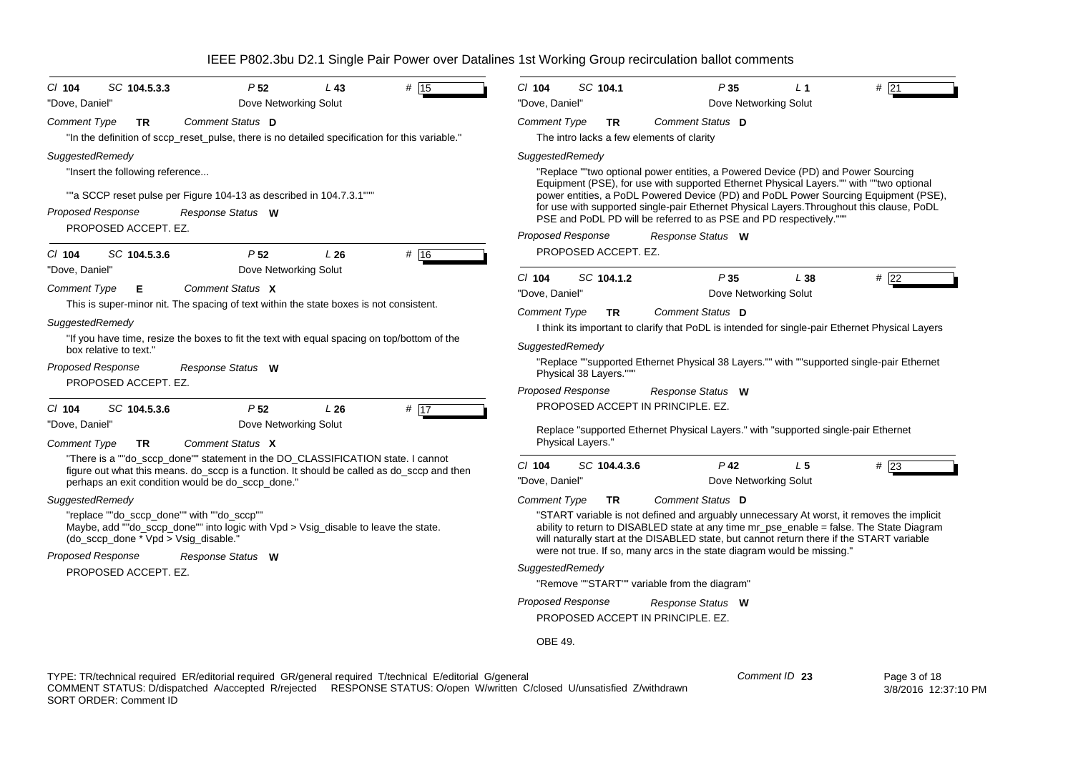| SC 104.5.3.3<br>$Cl$ 104<br>"Dove, Daniel"                                                                                                                                                                                                                                          | P <sub>52</sub><br>Dove Networking Solut                                                                                                                                                                                           | L43 | # 15 | $Cl$ 104<br>"Dove, Daniel"                  | SC 104.1                           |                                                                                                                                                                            | P35<br>Dove Networking Solut    | L <sub>1</sub> | #21                                                                                                                                                                                                                                                                                |
|-------------------------------------------------------------------------------------------------------------------------------------------------------------------------------------------------------------------------------------------------------------------------------------|------------------------------------------------------------------------------------------------------------------------------------------------------------------------------------------------------------------------------------|-----|------|---------------------------------------------|------------------------------------|----------------------------------------------------------------------------------------------------------------------------------------------------------------------------|---------------------------------|----------------|------------------------------------------------------------------------------------------------------------------------------------------------------------------------------------------------------------------------------------------------------------------------------------|
| <b>Comment Type</b><br><b>TR</b>                                                                                                                                                                                                                                                    | Comment Status D<br>"In the definition of sccp_reset_pulse, there is no detailed specification for this variable."                                                                                                                 |     |      | <b>Comment Type</b>                         | TR.                                | Comment Status D<br>The intro lacks a few elements of clarity                                                                                                              |                                 |                |                                                                                                                                                                                                                                                                                    |
| SuggestedRemedy<br>"Insert the following reference<br><b>Proposed Response</b><br>PROPOSED ACCEPT. EZ.                                                                                                                                                                              | ""a SCCP reset pulse per Figure 104-13 as described in 104.7.3.1"""<br>Response Status W                                                                                                                                           |     |      | SuggestedRemedy<br><b>Proposed Response</b> |                                    | "Replace ""two optional power entities, a Powered Device (PD) and Power Sourcing<br>PSE and PoDL PD will be referred to as PSE and PD respectively.""<br>Response Status W |                                 |                | Equipment (PSE), for use with supported Ethernet Physical Layers."" with ""two optional<br>power entities, a PoDL Powered Device (PD) and PoDL Power Sourcing Equipment (PSE),<br>for use with supported single-pair Ethernet Physical Layers. Throughout this clause, PoDL        |
| SC 104.5.3.6<br>CI 104<br>"Dove, Daniel"<br><b>Comment Type</b><br>Е                                                                                                                                                                                                                | P <sub>52</sub><br>Dove Networking Solut<br>Comment Status X                                                                                                                                                                       | L26 | # 16 | $Cl$ 104<br>"Dove, Daniel"                  | PROPOSED ACCEPT. EZ.<br>SC 104.1.2 |                                                                                                                                                                            | P35<br>Dove Networking Solut    | L38            | #22                                                                                                                                                                                                                                                                                |
| This is super-minor nit. The spacing of text within the state boxes is not consistent.<br>SuggestedRemedy<br>"If you have time, resize the boxes to fit the text with equal spacing on top/bottom of the<br>box relative to text."<br><b>Proposed Response</b><br>Response Status W |                                                                                                                                                                                                                                    |     |      | <b>Comment Type</b><br>SuggestedRemedy      | TR.                                | Comment Status D                                                                                                                                                           |                                 |                | I think its important to clarify that PoDL is intended for single-pair Ethernet Physical Layers<br>"Replace ""supported Ethernet Physical 38 Layers."" with ""supported single-pair Ethernet                                                                                       |
| PROPOSED ACCEPT. EZ.                                                                                                                                                                                                                                                                |                                                                                                                                                                                                                                    |     |      | <b>Proposed Response</b>                    | Physical 38 Layers."""             | Response Status W                                                                                                                                                          |                                 |                |                                                                                                                                                                                                                                                                                    |
| SC 104.5.3.6<br>$CI$ 104<br>"Dove, Daniel"<br><b>Comment Type</b><br><b>TR</b>                                                                                                                                                                                                      | P <sub>52</sub><br>Dove Networking Solut<br>Comment Status X                                                                                                                                                                       | L26 | # 17 |                                             | Physical Layers."                  | PROPOSED ACCEPT IN PRINCIPLE. EZ.<br>Replace "supported Ethernet Physical Layers." with "supported single-pair Ethernet                                                    |                                 |                |                                                                                                                                                                                                                                                                                    |
|                                                                                                                                                                                                                                                                                     | "There is a ""do_sccp_done"" statement in the DO_CLASSIFICATION state. I cannot<br>figure out what this means. do_sccp is a function. It should be called as do_sccp and then<br>perhaps an exit condition would be do_sccp_done." |     |      | $CI$ 104<br>"Dove, Daniel"                  | SC 104.4.3.6                       |                                                                                                                                                                            | $P$ 42<br>Dove Networking Solut | L <sub>5</sub> | $#$ 23                                                                                                                                                                                                                                                                             |
| SuggestedRemedy<br>"replace ""do_sccp_done"" with ""do_sccp""<br>(do_sccp_done * Vpd > Vsig_disable."                                                                                                                                                                               | Maybe, add ""do_sccp_done"" into logic with Vpd > Vsig_disable to leave the state.                                                                                                                                                 |     |      | <b>Comment Type</b>                         | <b>TR</b>                          | Comment Status D                                                                                                                                                           |                                 |                | "START variable is not defined and arguably unnecessary At worst, it removes the implicit<br>ability to return to DISABLED state at any time mr_pse_enable = false. The State Diagram<br>will naturally start at the DISABLED state, but cannot return there if the START variable |
| <b>Proposed Response</b><br>PROPOSED ACCEPT. EZ.                                                                                                                                                                                                                                    | Response Status W                                                                                                                                                                                                                  |     |      | SuggestedRemedy<br><b>Proposed Response</b> |                                    | were not true. If so, many arcs in the state diagram would be missing."<br>"Remove ""START"" variable from the diagram"<br>Response Status W                               |                                 |                |                                                                                                                                                                                                                                                                                    |
|                                                                                                                                                                                                                                                                                     |                                                                                                                                                                                                                                    |     |      | OBE 49.                                     |                                    | PROPOSED ACCEPT IN PRINCIPLE. EZ.                                                                                                                                          |                                 |                |                                                                                                                                                                                                                                                                                    |

TYPE: TR/technical required ER/editorial required GR/general required T/technical E/editorial G/general COMMENT STATUS: D/dispatched A/accepted R/rejected RESPONSE STATUS: O/open W/written C/closed U/unsatisfied Z/withdrawn SORT ORDER: Comment ID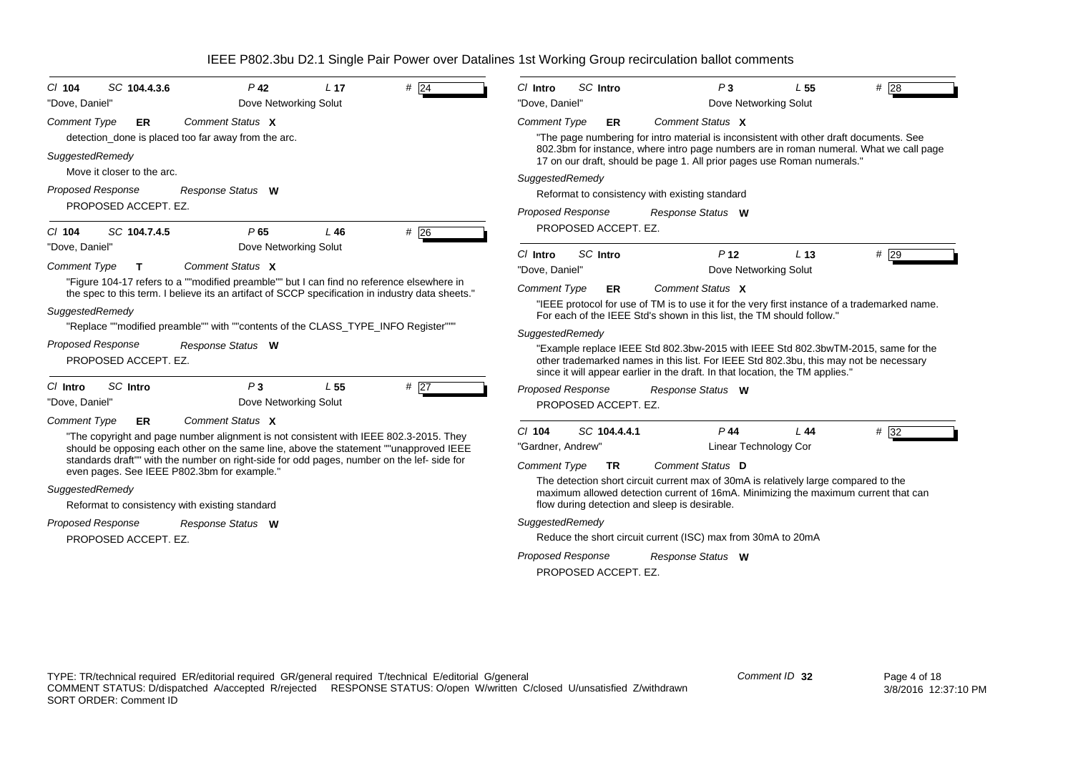|                                                                                                  | SC Intro<br>P <sub>3</sub><br>$Cl$ Intro<br>L <sub>55</sub><br>#28                                                                                                                                                                                          |
|--------------------------------------------------------------------------------------------------|-------------------------------------------------------------------------------------------------------------------------------------------------------------------------------------------------------------------------------------------------------------|
| Dove Networking Solut<br>"Dove, Daniel"                                                          | "Dove, Daniel"<br>Dove Networking Solut                                                                                                                                                                                                                     |
| Comment Status X<br>Comment Type<br>ER                                                           | Comment Status X<br><b>Comment Type</b><br><b>ER</b>                                                                                                                                                                                                        |
| detection_done is placed too far away from the arc.                                              | "The page numbering for intro material is inconsistent with other draft documents. See                                                                                                                                                                      |
| SuggestedRemedy                                                                                  | 802.3bm for instance, where intro page numbers are in roman numeral. What we call page<br>17 on our draft, should be page 1. All prior pages use Roman numerals."                                                                                           |
| Move it closer to the arc.                                                                       | SuggestedRemedy                                                                                                                                                                                                                                             |
| <b>Proposed Response</b><br>Response Status W                                                    | Reformat to consistency with existing standard                                                                                                                                                                                                              |
| PROPOSED ACCEPT. EZ.                                                                             | Proposed Response<br>Response Status W                                                                                                                                                                                                                      |
| #26<br>SC 104.7.4.5<br>P65<br>$L$ 46<br>$Cl$ 104                                                 | PROPOSED ACCEPT. EZ.                                                                                                                                                                                                                                        |
| "Dove, Daniel"<br>Dove Networking Solut                                                          | SC Intro<br>P <sub>12</sub><br>#29<br>C/ Intro<br>L <sub>13</sub>                                                                                                                                                                                           |
| Comment Status X<br><b>Comment Type</b><br>T.                                                    | "Dove, Daniel"<br>Dove Networking Solut                                                                                                                                                                                                                     |
| "Figure 104-17 refers to a ""modified preamble"" but I can find no reference elsewhere in        | Comment Status X<br><b>Comment Type</b><br>ER                                                                                                                                                                                                               |
| the spec to this term. I believe its an artifact of SCCP specification in industry data sheets." | "IEEE protocol for use of TM is to use it for the very first instance of a trademarked name.                                                                                                                                                                |
| SuggestedRemedy                                                                                  | For each of the IEEE Std's shown in this list, the TM should follow."                                                                                                                                                                                       |
| "Replace ""modified preamble"" with ""contents of the CLASS_TYPE_INFO Register"""                | SuggestedRemedy                                                                                                                                                                                                                                             |
| <b>Proposed Response</b><br>Response Status W<br>PROPOSED ACCEPT. EZ.                            | "Example replace IEEE Std 802.3bw-2015 with IEEE Std 802.3bwTM-2015, same for the<br>other trademarked names in this list. For IEEE Std 802.3bu, this may not be necessary<br>since it will appear earlier in the draft. In that location, the TM applies." |
| $P_3$<br>SC Intro<br>#27<br>L <sub>55</sub><br>$Cl$ Intro                                        | <b>Proposed Response</b><br>Response Status W                                                                                                                                                                                                               |
| "Dove, Daniel"<br>Dove Networking Solut                                                          | PROPOSED ACCEPT. EZ.                                                                                                                                                                                                                                        |
| Comment Status X<br>Comment Type<br>ER                                                           |                                                                                                                                                                                                                                                             |
| "The copyright and page number alignment is not consistent with IEEE 802.3-2015. They            | SC 104.4.4.1<br>$P$ 44<br>L44<br>$# \overline{32}$<br>C/ 104                                                                                                                                                                                                |
| should be opposing each other on the same line, above the statement ""unapproved IEEE            | Linear Technology Cor<br>"Gardner, Andrew"                                                                                                                                                                                                                  |
|                                                                                                  | Comment Status D<br>Comment Type<br><b>TR</b>                                                                                                                                                                                                               |
| standards draft"" with the number on right-side for odd pages, number on the lef- side for       |                                                                                                                                                                                                                                                             |
| even pages. See IEEE P802.3bm for example."                                                      | The detection short circuit current max of 30mA is relatively large compared to the                                                                                                                                                                         |
| SuggestedRemedy                                                                                  | maximum allowed detection current of 16mA. Minimizing the maximum current that can                                                                                                                                                                          |
| Reformat to consistency with existing standard                                                   | flow during detection and sleep is desirable.                                                                                                                                                                                                               |
| <b>Proposed Response</b><br>Response Status W<br>PROPOSED ACCEPT. EZ.                            | SuggestedRemedy<br>Reduce the short circuit current (ISC) max from 30mA to 20mA                                                                                                                                                                             |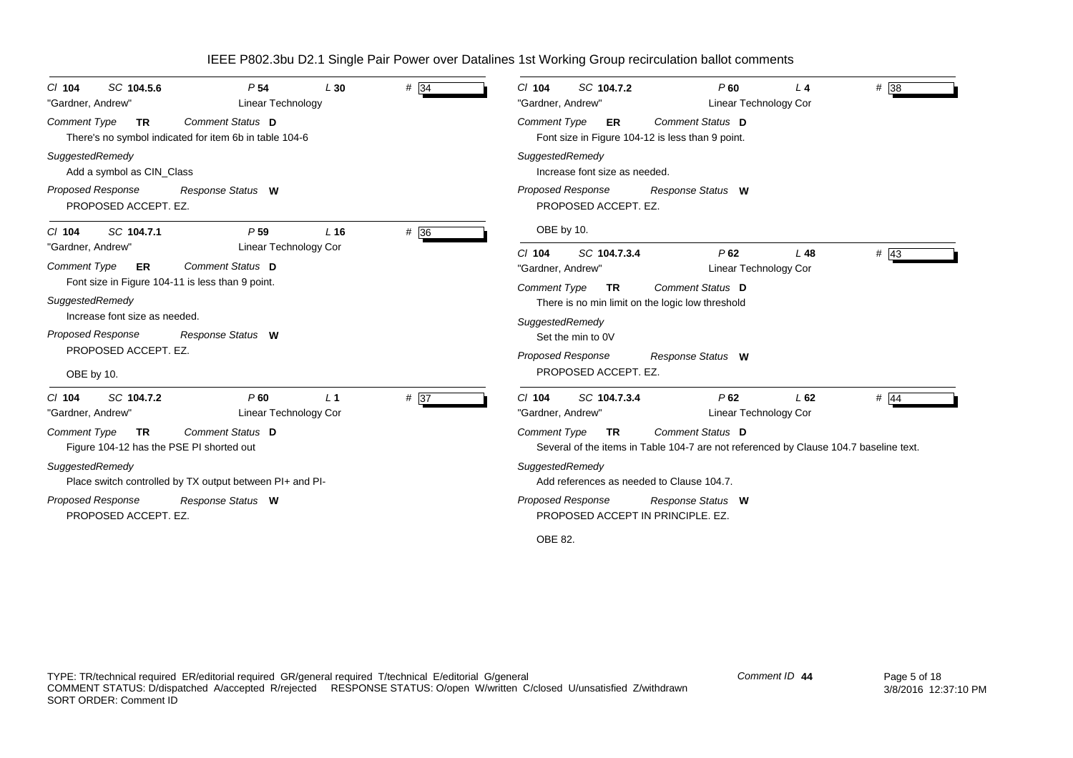| SC 104.5.6<br>$CI$ 104<br>"Gardner, Andrew"                                                                                      | P <sub>54</sub><br>L30<br>Linear Technology                                       | # 34 | SC 104.7.2<br>$P$ 60<br># 38<br>$Cl$ 104<br>L4<br>"Gardner, Andrew"<br>Linear Technology Cor                                                  |
|----------------------------------------------------------------------------------------------------------------------------------|-----------------------------------------------------------------------------------|------|-----------------------------------------------------------------------------------------------------------------------------------------------|
| <b>Comment Type</b><br><b>TR</b>                                                                                                 | <b>Comment Status D</b><br>There's no symbol indicated for item 6b in table 104-6 |      | Comment Status D<br><b>Comment Type</b><br>ER<br>Font size in Figure 104-12 is less than 9 point.                                             |
| SuggestedRemedy<br>Add a symbol as CIN Class                                                                                     |                                                                                   |      | SuggestedRemedy<br>Increase font size as needed.                                                                                              |
| Proposed Response<br>PROPOSED ACCEPT. EZ.                                                                                        | Response Status W                                                                 |      | <b>Proposed Response</b><br>Response Status W<br>PROPOSED ACCEPT. EZ.                                                                         |
| SC 104.7.1<br>$CI$ 104                                                                                                           | P <sub>59</sub><br>$L$ 16                                                         | # 36 | OBE by 10.                                                                                                                                    |
| "Gardner, Andrew"<br><b>Comment Type</b><br>ER                                                                                   | Linear Technology Cor<br>Comment Status D                                         |      | $#$ 43<br>$Cl$ 104<br>SC 104.7.3.4<br>$P$ 62<br>L <sub>48</sub><br>Linear Technology Cor<br>"Gardner, Andrew"                                 |
| Font size in Figure 104-11 is less than 9 point.<br>SuggestedRemedy<br>Increase font size as needed.<br><b>Proposed Response</b> | Response Status W                                                                 |      | Comment Type<br>Comment Status D<br><b>TR</b><br>There is no min limit on the logic low threshold<br>SuggestedRemedy<br>Set the min to 0V     |
| PROPOSED ACCEPT. EZ.<br>OBE by 10.                                                                                               |                                                                                   |      | <b>Proposed Response</b><br>Response Status W<br>PROPOSED ACCEPT. EZ.                                                                         |
| SC 104.7.2<br>$CI$ 104<br>"Gardner, Andrew"                                                                                      | P60<br>L <sub>1</sub><br>Linear Technology Cor                                    | # 37 | SC 104.7.3.4<br>P62<br>$#$ 44<br>$Cl$ 104<br>L62<br>Linear Technology Cor<br>"Gardner, Andrew"                                                |
| <b>Comment Type</b><br><b>TR</b><br>Figure 104-12 has the PSE PI shorted out                                                     | Comment Status D                                                                  |      | Comment Status D<br><b>Comment Type</b><br><b>TR</b><br>Several of the items in Table 104-7 are not referenced by Clause 104.7 baseline text. |
| SuggestedRemedy                                                                                                                  | Place switch controlled by TX output between PI+ and PI-                          |      | SuggestedRemedy<br>Add references as needed to Clause 104.7.                                                                                  |
| <b>Proposed Response</b><br>PROPOSED ACCEPT. EZ.                                                                                 | Response Status W                                                                 |      | Proposed Response<br>Response Status W<br>PROPOSED ACCEPT IN PRINCIPLE. EZ.                                                                   |
|                                                                                                                                  |                                                                                   |      | OBE 82.                                                                                                                                       |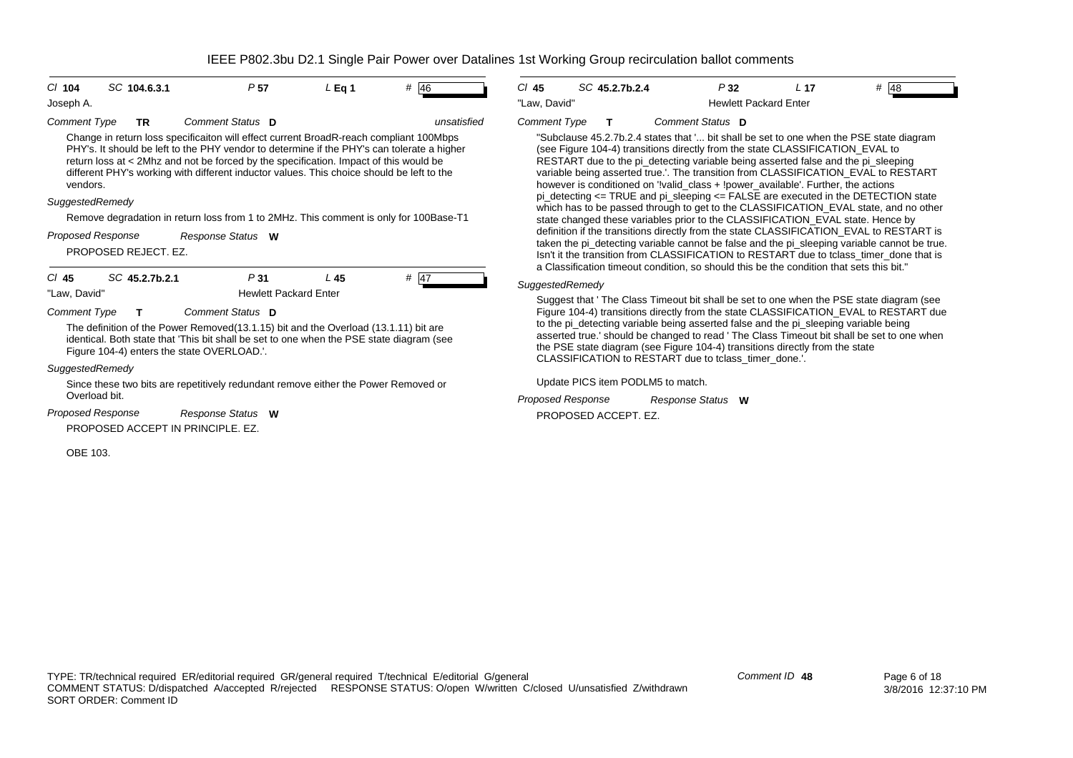| Comment Type<br>Comment Status D<br>unsatisfied<br><b>Comment Type</b><br><b>TR</b><br>Change in return loss specificaiton will effect current BroadR-reach compliant 100Mbps<br>PHY's. It should be left to the PHY vendor to determine if the PHY's can tolerate a higher<br>return loss at < 2Mhz and not be forced by the specification. Impact of this would be<br>different PHY's working with different inductor values. This choice should be left to the<br>vendors.<br>SuggestedRemedy<br>which has to<br>Remove degradation in return loss from 1 to 2MHz. This comment is only for 100Base-T1<br>definition if th<br>Proposed Response<br>Response Status W<br>PROPOSED REJECT. EZ.<br>SC 45.2.7b.2.1<br>P31<br># 47<br>$CI$ 45<br>L45<br>SuggestedRemed<br>"Law, David"<br><b>Hewlett Packard Enter</b><br>Suggest that<br>Comment Status D<br><b>Comment Type</b><br>т<br>The definition of the Power Removed (13.1.15) bit and the Overload (13.1.11) bit are<br>identical. Both state that 'This bit shall be set to one when the PSE state diagram (see<br>Figure 104-4) enters the state OVERLOAD.'.<br>SuggestedRemedy<br><b>Update PICS</b><br>Since these two bits are repetitively redundant remove either the Power Removed or<br>Overload bit.<br><b>Proposed Respor</b><br>Proposed Response<br>Response Status W<br>PROPOSED ACCEPT IN PRINCIPLE, EZ. | $Cl$ 104<br>Joseph A. | SC 104.6.3.1 | P <sub>57</sub> | $L$ Eq 1 | # 46 | SC<br>$CI$ 45<br>"Law, David"                                                          |
|---------------------------------------------------------------------------------------------------------------------------------------------------------------------------------------------------------------------------------------------------------------------------------------------------------------------------------------------------------------------------------------------------------------------------------------------------------------------------------------------------------------------------------------------------------------------------------------------------------------------------------------------------------------------------------------------------------------------------------------------------------------------------------------------------------------------------------------------------------------------------------------------------------------------------------------------------------------------------------------------------------------------------------------------------------------------------------------------------------------------------------------------------------------------------------------------------------------------------------------------------------------------------------------------------------------------------------------------------------------------------------|-----------------------|--------------|-----------------|----------|------|----------------------------------------------------------------------------------------|
|                                                                                                                                                                                                                                                                                                                                                                                                                                                                                                                                                                                                                                                                                                                                                                                                                                                                                                                                                                                                                                                                                                                                                                                                                                                                                                                                                                                 |                       |              |                 |          |      | "Subclause 4<br>(see Figure 1<br><b>RESTART du</b><br>variable beind<br>however is co  |
|                                                                                                                                                                                                                                                                                                                                                                                                                                                                                                                                                                                                                                                                                                                                                                                                                                                                                                                                                                                                                                                                                                                                                                                                                                                                                                                                                                                 |                       |              |                 |          |      | pi_detecting <                                                                         |
|                                                                                                                                                                                                                                                                                                                                                                                                                                                                                                                                                                                                                                                                                                                                                                                                                                                                                                                                                                                                                                                                                                                                                                                                                                                                                                                                                                                 |                       |              |                 |          |      | state change                                                                           |
|                                                                                                                                                                                                                                                                                                                                                                                                                                                                                                                                                                                                                                                                                                                                                                                                                                                                                                                                                                                                                                                                                                                                                                                                                                                                                                                                                                                 |                       |              |                 |          |      | taken the pi_o<br>Isn't it the tran<br>a Classificatio                                 |
|                                                                                                                                                                                                                                                                                                                                                                                                                                                                                                                                                                                                                                                                                                                                                                                                                                                                                                                                                                                                                                                                                                                                                                                                                                                                                                                                                                                 |                       |              |                 |          |      |                                                                                        |
|                                                                                                                                                                                                                                                                                                                                                                                                                                                                                                                                                                                                                                                                                                                                                                                                                                                                                                                                                                                                                                                                                                                                                                                                                                                                                                                                                                                 |                       |              |                 |          |      |                                                                                        |
|                                                                                                                                                                                                                                                                                                                                                                                                                                                                                                                                                                                                                                                                                                                                                                                                                                                                                                                                                                                                                                                                                                                                                                                                                                                                                                                                                                                 |                       |              |                 |          |      | Figure 104-4)<br>to the pi dete<br>asserted true<br>the PSE state<br><b>CLASSIFICA</b> |
|                                                                                                                                                                                                                                                                                                                                                                                                                                                                                                                                                                                                                                                                                                                                                                                                                                                                                                                                                                                                                                                                                                                                                                                                                                                                                                                                                                                 |                       |              |                 |          |      |                                                                                        |
|                                                                                                                                                                                                                                                                                                                                                                                                                                                                                                                                                                                                                                                                                                                                                                                                                                                                                                                                                                                                                                                                                                                                                                                                                                                                                                                                                                                 |                       |              |                 |          |      |                                                                                        |
| OBE 103.                                                                                                                                                                                                                                                                                                                                                                                                                                                                                                                                                                                                                                                                                                                                                                                                                                                                                                                                                                                                                                                                                                                                                                                                                                                                                                                                                                        |                       |              |                 |          |      | <b>PROPOSED</b>                                                                        |

| $CI$ 45             | SC 45.2.7b.2.4 | P 32                         | / 17 | #<br> 48 |
|---------------------|----------------|------------------------------|------|----------|
| "Law. David"        |                | <b>Hewlett Packard Enter</b> |      |          |
| <b>Comment Type</b> |                | Comment Status D             |      |          |

5.2.7b.2.4 states that '... bit shall be set to one when the PSE state diagram ()4-4) transitions directly from the state CLASSIFICATION\_EVAL to Le to the pi\_detecting variable being asserted false and the pi\_sleeping g asserted true.'. The transition from CLASSIFICATION\_EVAL to RESTART  $\frac{1}{2}$  on the valid class + !power\_available'. Further, the actions  $\le$  TRUE and pi\_sleeping  $\le$  FALSE are executed in the DETECTION state be passed through to get to the CLASSIFICATION\_EVAL state, and no other d these variables prior to the CLASSIFICATION\_EVAL state. Hence by e transitions directly from the state CLASSIFICATION\_EVAL to RESTART is detecting variable cannot be false and the pi\_sleeping variable cannot be true. nsition from CLASSIFICATION to RESTART due to tclass\_timer\_done that is on timeout condition, so should this be the condition that sets this bit."

#### *SuggestedRemedy*

The Class Timeout bit shall be set to one when the PSE state diagram (see transitions directly from the state CLASSIFICATION\_EVAL to RESTART due ecting variable being asserted false and the pi\_sleeping variable being .' should be changed to read ' The Class Timeout bit shall be set to one when diagram (see Figure 104-4) transitions directly from the state TION to RESTART due to tclass\_timer\_done.'.

item PODLM5 to match.

*Proposed Response* ACCEPT F7 *Response Status* **W**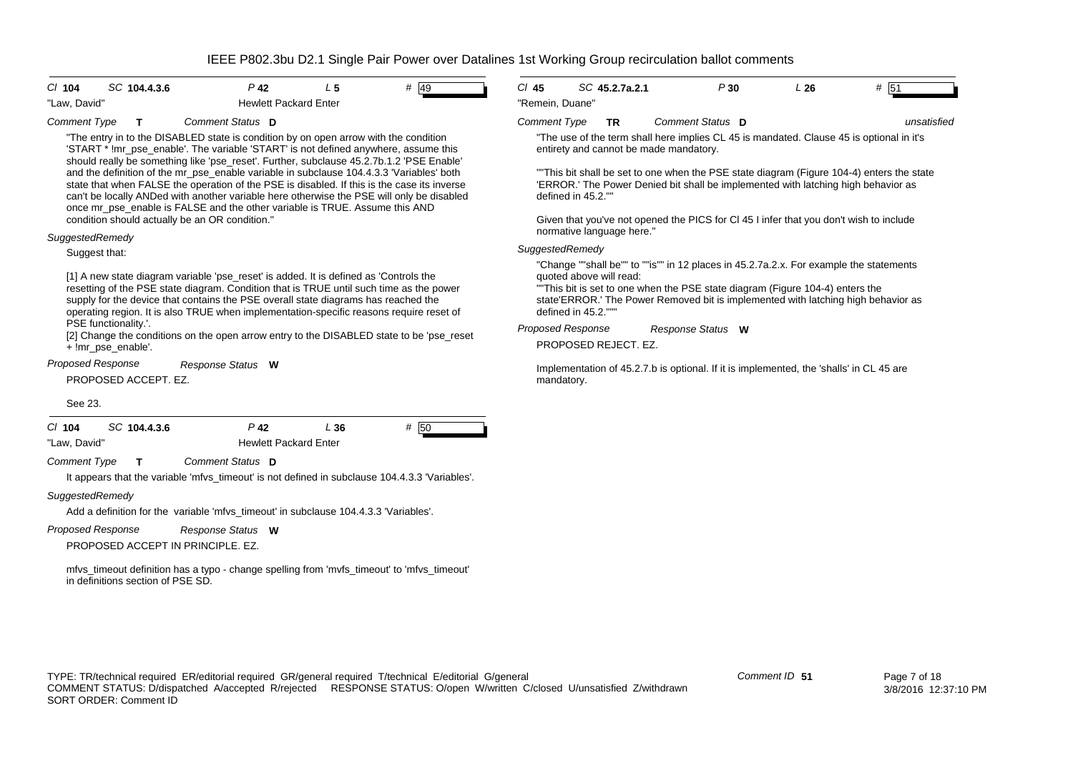| C/ 104                                                 | SC 104.4.3.6                                                                                                                                                                                                                                                                                                                                                                                                                                                                                                                                                                                                                                                                                                                                                                                                    | $P$ 42                                 | L <sub>5</sub> | $#$ 49 | $CI$ 45                                                   |                     | SC 45.2.7a.2.1                                                    |                                        | P30               | L26                                                                                                                                                                                                                                                                                                                                                   | # 51                                                                                                                                                                                                |
|--------------------------------------------------------|-----------------------------------------------------------------------------------------------------------------------------------------------------------------------------------------------------------------------------------------------------------------------------------------------------------------------------------------------------------------------------------------------------------------------------------------------------------------------------------------------------------------------------------------------------------------------------------------------------------------------------------------------------------------------------------------------------------------------------------------------------------------------------------------------------------------|----------------------------------------|----------------|--------|-----------------------------------------------------------|---------------------|-------------------------------------------------------------------|----------------------------------------|-------------------|-------------------------------------------------------------------------------------------------------------------------------------------------------------------------------------------------------------------------------------------------------------------------------------------------------------------------------------------------------|-----------------------------------------------------------------------------------------------------------------------------------------------------------------------------------------------------|
|                                                        |                                                                                                                                                                                                                                                                                                                                                                                                                                                                                                                                                                                                                                                                                                                                                                                                                 | <b>Hewlett Packard Enter</b>           |                |        |                                                           |                     |                                                                   |                                        |                   |                                                                                                                                                                                                                                                                                                                                                       |                                                                                                                                                                                                     |
| "Law, David"<br><b>Comment Type</b><br>SuggestedRemedy | Т<br>"The entry in to the DISABLED state is condition by on open arrow with the condition<br>'START * !mr_pse_enable'. The variable 'START' is not defined anywhere, assume this<br>should really be something like 'pse_reset'. Further, subclause 45.2.7b.1.2 'PSE Enable'<br>and the definition of the mr_pse_enable variable in subclause 104.4.3.3 'Variables' both<br>state that when FALSE the operation of the PSE is disabled. If this is the case its inverse<br>can't be locally ANDed with another variable here otherwise the PSE will only be disabled<br>once mr pse enable is FALSE and the other variable is TRUE. Assume this AND<br>condition should actually be an OR condition."<br>Suggest that:<br>[1] A new state diagram variable 'pse_reset' is added. It is defined as 'Controls the | Comment Status D                       |                |        | "Remein, Duane"<br><b>Comment Type</b><br>SuggestedRemedy | defined in 45.2.""  | <b>TR</b><br>normative language here."<br>quoted above will read: | entirety and cannot be made mandatory. | Comment Status D  | 'ERROR.' The Power Denied bit shall be implemented with latching high behavior as<br>Given that you've not opened the PICS for CI 45 I infer that you don't wish to include<br>"Change ""shall be"" to ""is"" in 12 places in 45.2.7a.2.x. For example the statements<br>"This bit is set to one when the PSE state diagram (Figure 104-4) enters the | unsatisfied<br>"The use of the term shall here implies CL 45 is mandated. Clause 45 is optional in it's<br>"This bit shall be set to one when the PSE state diagram (Figure 104-4) enters the state |
|                                                        | resetting of the PSE state diagram. Condition that is TRUE until such time as the power<br>supply for the device that contains the PSE overall state diagrams has reached the<br>operating region. It is also TRUE when implementation-specific reasons require reset of<br>PSE functionality.'.<br>[2] Change the conditions on the open arrow entry to the DISABLED state to be 'pse_reset<br>+ !mr_pse_enable'.<br><b>Proposed Response</b>                                                                                                                                                                                                                                                                                                                                                                  |                                        |                |        | <b>Proposed Response</b>                                  | defined in 45.2.""" | PROPOSED REJECT. EZ.                                              |                                        | Response Status W |                                                                                                                                                                                                                                                                                                                                                       | state'ERROR.' The Power Removed bit is implemented with latching high behavior as                                                                                                                   |
|                                                        | PROPOSED ACCEPT. EZ.                                                                                                                                                                                                                                                                                                                                                                                                                                                                                                                                                                                                                                                                                                                                                                                            | Response Status W                      |                |        | mandatory.                                                |                     |                                                                   |                                        |                   | Implementation of 45.2.7.b is optional. If it is implemented, the 'shalls' in CL 45 are                                                                                                                                                                                                                                                               |                                                                                                                                                                                                     |
| See 23.                                                |                                                                                                                                                                                                                                                                                                                                                                                                                                                                                                                                                                                                                                                                                                                                                                                                                 |                                        |                |        |                                                           |                     |                                                                   |                                        |                   |                                                                                                                                                                                                                                                                                                                                                       |                                                                                                                                                                                                     |
| $CI$ 104<br>"Law, David'                               | SC 104.4.3.6                                                                                                                                                                                                                                                                                                                                                                                                                                                                                                                                                                                                                                                                                                                                                                                                    | $P$ 42<br><b>Hewlett Packard Enter</b> | L36            | # 50   |                                                           |                     |                                                                   |                                        |                   |                                                                                                                                                                                                                                                                                                                                                       |                                                                                                                                                                                                     |
| <b>Comment Type</b>                                    | $\mathbf T$<br>It appears that the variable 'mfvs_timeout' is not defined in subclause 104.4.3.3 'Variables'.                                                                                                                                                                                                                                                                                                                                                                                                                                                                                                                                                                                                                                                                                                   | Comment Status D                       |                |        |                                                           |                     |                                                                   |                                        |                   |                                                                                                                                                                                                                                                                                                                                                       |                                                                                                                                                                                                     |
| SuggestedRemedy                                        | Add a definition for the variable 'mfvs_timeout' in subclause 104.4.3.3 'Variables'.                                                                                                                                                                                                                                                                                                                                                                                                                                                                                                                                                                                                                                                                                                                            |                                        |                |        |                                                           |                     |                                                                   |                                        |                   |                                                                                                                                                                                                                                                                                                                                                       |                                                                                                                                                                                                     |
| <b>Proposed Response</b>                               | PROPOSED ACCEPT IN PRINCIPLE. EZ.                                                                                                                                                                                                                                                                                                                                                                                                                                                                                                                                                                                                                                                                                                                                                                               | Response Status W                      |                |        |                                                           |                     |                                                                   |                                        |                   |                                                                                                                                                                                                                                                                                                                                                       |                                                                                                                                                                                                     |
|                                                        | mfvs_timeout definition has a typo - change spelling from 'mvfs_timeout' to 'mfvs_timeout'<br>in definitions section of PSE SD.                                                                                                                                                                                                                                                                                                                                                                                                                                                                                                                                                                                                                                                                                 |                                        |                |        |                                                           |                     |                                                                   |                                        |                   |                                                                                                                                                                                                                                                                                                                                                       |                                                                                                                                                                                                     |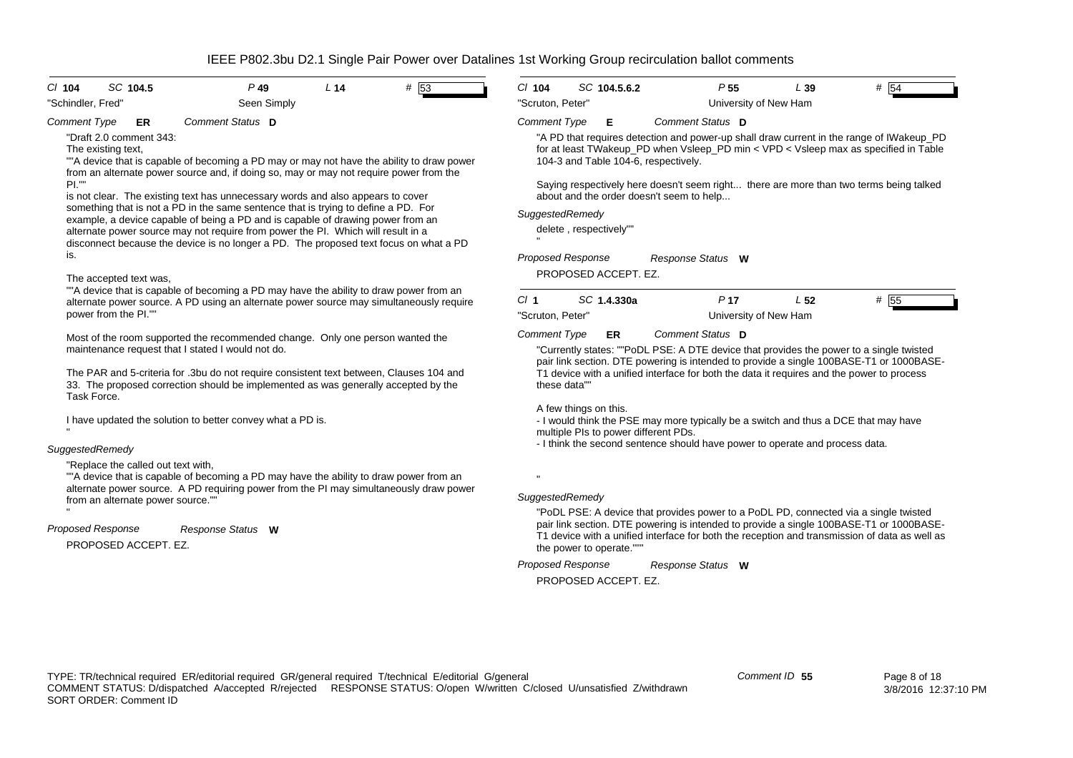| SC 104.5<br>$CI$ 104                                                                                                                                                                                                                          | $P$ 49                                                                                                                                                                                                                                                                                                            | L <sub>14</sub> | # 53 | $Cl$ 104                                                                                                                                             |              | SC 104.5.6.2             | P <sub>55</sub>                                                                                                                                                                                                                                                                  | L39             | # 54 |
|-----------------------------------------------------------------------------------------------------------------------------------------------------------------------------------------------------------------------------------------------|-------------------------------------------------------------------------------------------------------------------------------------------------------------------------------------------------------------------------------------------------------------------------------------------------------------------|-----------------|------|------------------------------------------------------------------------------------------------------------------------------------------------------|--------------|--------------------------|----------------------------------------------------------------------------------------------------------------------------------------------------------------------------------------------------------------------------------------------------------------------------------|-----------------|------|
| "Schindler, Fred"                                                                                                                                                                                                                             | Seen Simply                                                                                                                                                                                                                                                                                                       |                 |      | "Scruton, Peter"                                                                                                                                     |              |                          | University of New Ham                                                                                                                                                                                                                                                            |                 |      |
| <b>Comment Type</b><br>ER                                                                                                                                                                                                                     | Comment Status D                                                                                                                                                                                                                                                                                                  |                 |      | <b>Comment Type</b>                                                                                                                                  |              | Е                        | Comment Status D                                                                                                                                                                                                                                                                 |                 |      |
| "Draft 2.0 comment 343:<br>The existing text,<br>""A device that is capable of becoming a PD may or may not have the ability to draw power<br>from an alternate power source and, if doing so, may or may not require power from the<br>PL''' | "A PD that requires detection and power-up shall draw current in the range of IWakeup_PD<br>for at least TWakeup_PD when Vsleep_PD min < VPD < Vsleep max as specified in Table<br>104-3 and Table 104-6, respectively.<br>Saying respectively here doesn't seem right there are more than two terms being talked |                 |      |                                                                                                                                                      |              |                          |                                                                                                                                                                                                                                                                                  |                 |      |
|                                                                                                                                                                                                                                               | is not clear. The existing text has unnecessary words and also appears to cover                                                                                                                                                                                                                                   |                 |      |                                                                                                                                                      |              |                          | about and the order doesn't seem to help                                                                                                                                                                                                                                         |                 |      |
|                                                                                                                                                                                                                                               | something that is not a PD in the same sentence that is trying to define a PD. For<br>example, a device capable of being a PD and is capable of drawing power from an                                                                                                                                             |                 |      | SuggestedRemedy                                                                                                                                      |              |                          |                                                                                                                                                                                                                                                                                  |                 |      |
|                                                                                                                                                                                                                                               | alternate power source may not require from power the PI. Which will result in a<br>disconnect because the device is no longer a PD. The proposed text focus on what a PD                                                                                                                                         |                 |      |                                                                                                                                                      |              | delete, respectively""   |                                                                                                                                                                                                                                                                                  |                 |      |
| is.                                                                                                                                                                                                                                           |                                                                                                                                                                                                                                                                                                                   |                 |      | <b>Proposed Response</b>                                                                                                                             |              |                          | Response Status W                                                                                                                                                                                                                                                                |                 |      |
| The accepted text was,                                                                                                                                                                                                                        |                                                                                                                                                                                                                                                                                                                   |                 |      |                                                                                                                                                      |              | PROPOSED ACCEPT. EZ.     |                                                                                                                                                                                                                                                                                  |                 |      |
|                                                                                                                                                                                                                                               | ""A device that is capable of becoming a PD may have the ability to draw power from an<br>alternate power source. A PD using an alternate power source may simultaneously require                                                                                                                                 |                 |      | Cl <sub>1</sub>                                                                                                                                      |              | SC 1.4.330a              | P <sub>17</sub>                                                                                                                                                                                                                                                                  | L <sub>52</sub> | # 55 |
| power from the PI.""                                                                                                                                                                                                                          |                                                                                                                                                                                                                                                                                                                   |                 |      | "Scruton, Peter"                                                                                                                                     |              |                          | University of New Ham                                                                                                                                                                                                                                                            |                 |      |
|                                                                                                                                                                                                                                               | Most of the room supported the recommended change. Only one person wanted the<br>maintenance request that I stated I would not do.                                                                                                                                                                                |                 |      | <b>Comment Type</b>                                                                                                                                  |              | ER                       | Comment Status D<br>"Currently states: ""PoDL PSE: A DTE device that provides the power to a single twisted<br>pair link section. DTE powering is intended to provide a single 100BASE-T1 or 1000BASE-                                                                           |                 |      |
| Task Force.                                                                                                                                                                                                                                   | The PAR and 5-criteria for .3bu do not require consistent text between, Clauses 104 and<br>33. The proposed correction should be implemented as was generally accepted by the                                                                                                                                     |                 |      |                                                                                                                                                      | these data"" |                          | T1 device with a unified interface for both the data it requires and the power to process                                                                                                                                                                                        |                 |      |
| I have updated the solution to better convey what a PD is.                                                                                                                                                                                    |                                                                                                                                                                                                                                                                                                                   |                 |      | A few things on this.<br>- I would think the PSE may more typically be a switch and thus a DCE that may have<br>multiple PIs to power different PDs. |              |                          |                                                                                                                                                                                                                                                                                  |                 |      |
| SuggestedRemedy                                                                                                                                                                                                                               |                                                                                                                                                                                                                                                                                                                   |                 |      |                                                                                                                                                      |              |                          | - I think the second sentence should have power to operate and process data.                                                                                                                                                                                                     |                 |      |
| "Replace the called out text with,<br>from an alternate power source.""                                                                                                                                                                       | ""A device that is capable of becoming a PD may have the ability to draw power from an<br>alternate power source. A PD requiring power from the PI may simultaneously draw power                                                                                                                                  |                 |      | SuggestedRemedy                                                                                                                                      |              |                          |                                                                                                                                                                                                                                                                                  |                 |      |
| Proposed Response<br>PROPOSED ACCEPT. EZ.                                                                                                                                                                                                     | Response Status W                                                                                                                                                                                                                                                                                                 |                 |      |                                                                                                                                                      |              | the power to operate.""" | "PoDL PSE: A device that provides power to a PoDL PD, connected via a single twisted<br>pair link section. DTE powering is intended to provide a single 100BASE-T1 or 1000BASE-<br>T1 device with a unified interface for both the reception and transmission of data as well as |                 |      |

*Proposed Response Response Status* **W**

PROPOSED ACCEPT. EZ.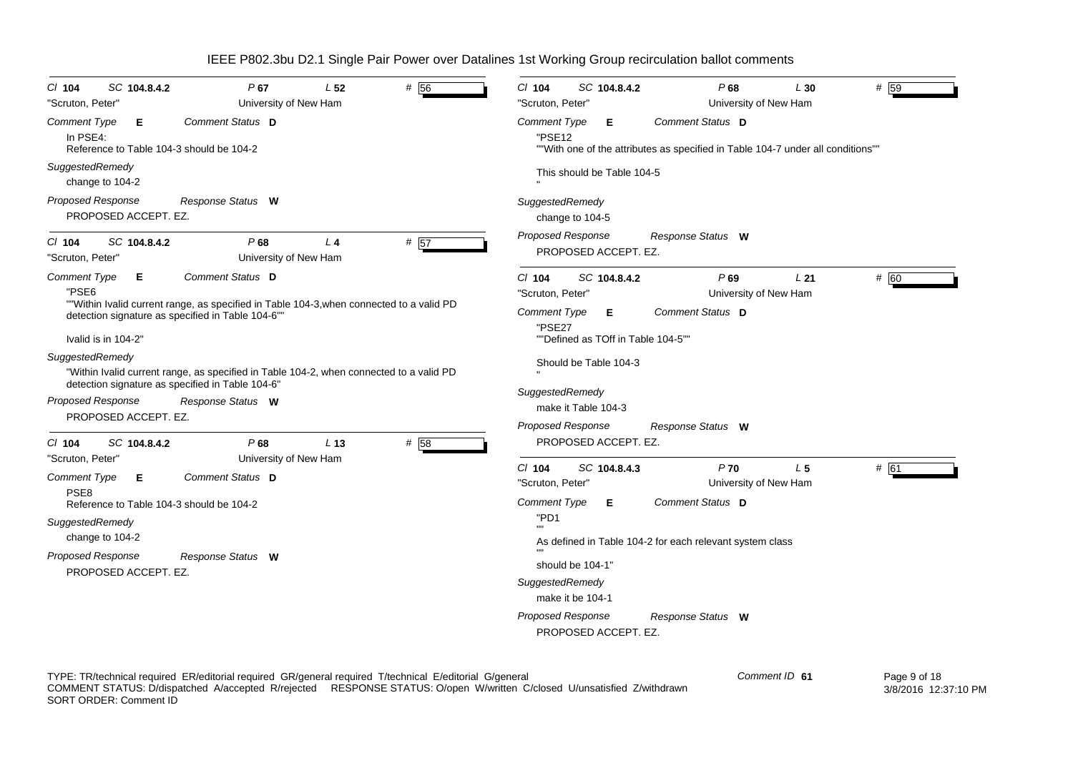| # 56<br>SC 104.8.4.2<br>P67<br>L <sub>52</sub><br>$CI$ 104<br>"Scruton, Peter"<br>University of New Ham                                                                                                                                                                                                                                                                                                                                          | P68<br># 59<br>C/ 104<br>SC 104.8.4.2<br>L30<br>"Scruton, Peter"<br>University of New Ham                                                                                                                                                                                                                                                                |
|--------------------------------------------------------------------------------------------------------------------------------------------------------------------------------------------------------------------------------------------------------------------------------------------------------------------------------------------------------------------------------------------------------------------------------------------------|----------------------------------------------------------------------------------------------------------------------------------------------------------------------------------------------------------------------------------------------------------------------------------------------------------------------------------------------------------|
| Comment Status D<br><b>Comment Type</b><br>Е<br>In PSE4:<br>Reference to Table 104-3 should be 104-2                                                                                                                                                                                                                                                                                                                                             | Comment Status D<br><b>Comment Type</b><br>Е<br>"PSE12<br>""With one of the attributes as specified in Table 104-7 under all conditions""                                                                                                                                                                                                                |
| SuggestedRemedy<br>change to 104-2                                                                                                                                                                                                                                                                                                                                                                                                               | This should be Table 104-5                                                                                                                                                                                                                                                                                                                               |
| <b>Proposed Response</b><br>Response Status W<br>PROPOSED ACCEPT. EZ.                                                                                                                                                                                                                                                                                                                                                                            | SuggestedRemedy<br>change to 104-5                                                                                                                                                                                                                                                                                                                       |
| # 57<br>SC 104.8.4.2<br>P68<br>L <sub>4</sub><br>$CI$ 104<br>"Scruton, Peter"<br>University of New Ham                                                                                                                                                                                                                                                                                                                                           | <b>Proposed Response</b><br>Response Status W<br>PROPOSED ACCEPT. EZ.                                                                                                                                                                                                                                                                                    |
| Comment Status D<br><b>Comment Type</b><br>Е<br>"PSE6<br>""Within Ivalid current range, as specified in Table 104-3, when connected to a valid PD<br>detection signature as specified in Table 104-6""<br>Ivalid is in 104-2"<br>SuggestedRemedy<br>"Within Ivalid current range, as specified in Table 104-2, when connected to a valid PD<br>detection signature as specified in Table 104-6"<br><b>Proposed Response</b><br>Response Status W | $Cl$ 104<br>P69<br># 60<br>SC 104.8.4.2<br>L21<br>University of New Ham<br>"Scruton, Peter"<br>Comment Status D<br><b>Comment Type</b><br>Е<br>"PSE27<br>""Defined as TOff in Table 104-5""<br>Should be Table 104-3<br>SuggestedRemedy<br>make it Table 104-3                                                                                           |
| PROPOSED ACCEPT. EZ.<br># 58<br>P68<br>L <sub>13</sub><br>$CI$ 104<br>SC 104.8.4.2                                                                                                                                                                                                                                                                                                                                                               | <b>Proposed Response</b><br>Response Status W<br>PROPOSED ACCEPT. EZ.                                                                                                                                                                                                                                                                                    |
| "Scruton, Peter"<br>University of New Ham<br>Comment Status D<br>Comment Type<br>Е<br>PSE <sub>8</sub><br>Reference to Table 104-3 should be 104-2<br>SuggestedRemedy<br>change to 104-2<br>Proposed Response<br>Response Status W<br>PROPOSED ACCEPT. EZ.                                                                                                                                                                                       | C/ 104<br>$P$ 70<br>L <sub>5</sub><br># 61<br>SC 104.8.4.3<br>University of New Ham<br>"Scruton, Peter"<br>Comment Status D<br>Comment Type<br>Е<br>"PD1<br>As defined in Table 104-2 for each relevant system class<br>should be 104-1"<br>SuggestedRemedy<br>make it be 104-1<br><b>Proposed Response</b><br>Response Status W<br>PROPOSED ACCEPT. EZ. |

TYPE: TR/technical required ER/editorial required GR/general required T/technical E/editorial G/general COMMENT STATUS: D/dispatched A/accepted R/rejected RESPONSE STATUS: O/open W/written C/closed U/unsatisfied Z/withdrawn SORT ORDER: Comment ID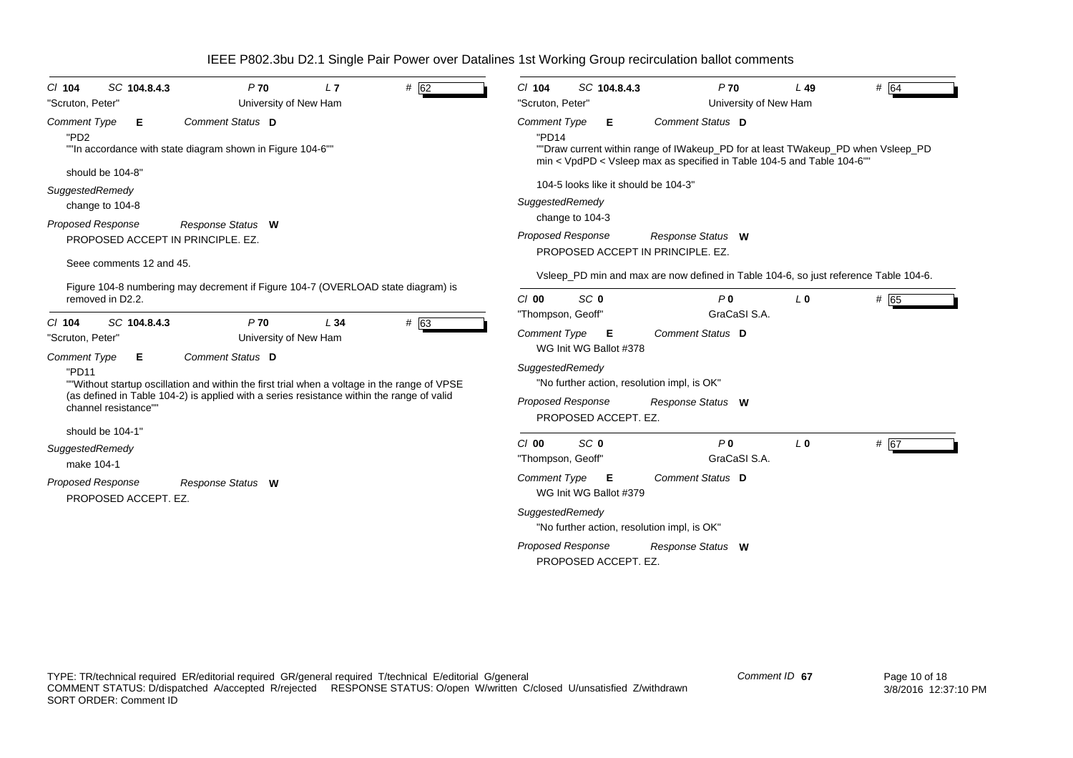| # 62<br>SC 104.8.4.3<br>P70<br>L7<br>$CI$ 104<br>University of New Ham<br>"Scruton, Peter"                                                                                                         | SC 104.8.4.3<br># $64$<br>$P$ 70<br>$L$ 49<br>$CI$ 104<br>"Scruton, Peter"<br>University of New Ham                                                                                                                        |  |  |  |  |
|----------------------------------------------------------------------------------------------------------------------------------------------------------------------------------------------------|----------------------------------------------------------------------------------------------------------------------------------------------------------------------------------------------------------------------------|--|--|--|--|
| Comment Status D<br><b>Comment Type</b><br>Е<br>"PD <sub>2</sub><br>""In accordance with state diagram shown in Figure 104-6""                                                                     | <b>Comment Status D</b><br><b>Comment Type</b><br>Е<br>"PD14<br>""Draw current within range of IWakeup_PD for at least TWakeup_PD when Vsleep_PD<br>min < VpdPD < Vsleep max as specified in Table 104-5 and Table 104-6"" |  |  |  |  |
| should be 104-8"                                                                                                                                                                                   |                                                                                                                                                                                                                            |  |  |  |  |
| SuggestedRemedy<br>change to 104-8                                                                                                                                                                 | 104-5 looks like it should be 104-3"<br>SuggestedRemedy                                                                                                                                                                    |  |  |  |  |
| <b>Proposed Response</b><br>Response Status W<br>PROPOSED ACCEPT IN PRINCIPLE, EZ.<br>Seee comments 12 and 45.                                                                                     | change to 104-3<br><b>Proposed Response</b><br>Response Status W<br>PROPOSED ACCEPT IN PRINCIPLE, EZ.                                                                                                                      |  |  |  |  |
|                                                                                                                                                                                                    | Vsleep_PD min and max are now defined in Table 104-6, so just reference Table 104-6.                                                                                                                                       |  |  |  |  |
| Figure 104-8 numbering may decrement if Figure 104-7 (OVERLOAD state diagram) is<br>removed in D2.2.                                                                                               | SC <sub>0</sub><br>P <sub>0</sub><br># 65<br>$Cl$ 00<br>$L_0$<br>GraCaSI S.A.<br>"Thompson, Geoff"                                                                                                                         |  |  |  |  |
| P <sub>70</sub><br># 63<br>SC 104.8.4.3<br>L34<br>$Cl$ 104<br>"Scruton, Peter"<br>University of New Ham<br>Comment Status D<br><b>Comment Type</b><br>Е                                            | Comment Type<br>Comment Status D<br>Е<br>WG Init WG Ballot #378                                                                                                                                                            |  |  |  |  |
| "PD11<br>""Without startup oscillation and within the first trial when a voltage in the range of VPSE<br>(as defined in Table 104-2) is applied with a series resistance within the range of valid | SuggestedRemedy<br>"No further action, resolution impl, is OK"                                                                                                                                                             |  |  |  |  |
| channel resistance""<br>should be 104-1"                                                                                                                                                           | <b>Proposed Response</b><br>Response Status W<br>PROPOSED ACCEPT. EZ.                                                                                                                                                      |  |  |  |  |
| SuggestedRemedy<br>make 104-1                                                                                                                                                                      | SC <sub>0</sub><br>P <sub>0</sub><br># 67<br>C/O<br>$L_0$<br>GraCaSI S.A.<br>"Thompson, Geoff"                                                                                                                             |  |  |  |  |
| <b>Proposed Response</b><br>Response Status W<br>PROPOSED ACCEPT. EZ.                                                                                                                              | Comment Status D<br><b>Comment Type</b><br>Е<br>WG Init WG Ballot #379                                                                                                                                                     |  |  |  |  |
|                                                                                                                                                                                                    | SuggestedRemedy<br>"No further action, resolution impl, is OK"                                                                                                                                                             |  |  |  |  |
|                                                                                                                                                                                                    | <b>Proposed Response</b><br>Response Status W<br>PROPOSED ACCEPT. EZ.                                                                                                                                                      |  |  |  |  |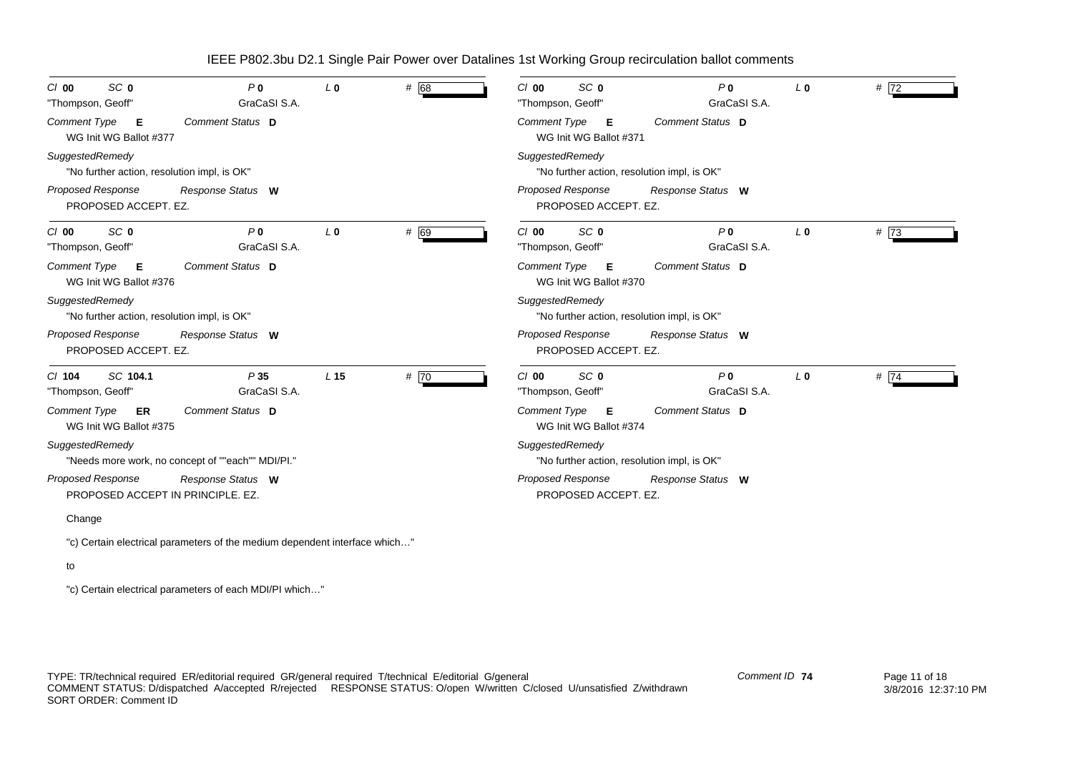| SC <sub>0</sub><br>C/O<br>"Thompson, Geoff"                    | P <sub>0</sub><br>GraCaSI S.A.                    | L <sub>0</sub>  | # 68 | SC 0<br>P <sub>0</sub><br># 72<br>$Cl$ 00<br>L <sub>0</sub><br>GraCaSI S.A.<br>"Thompson, Geoff"                      |
|----------------------------------------------------------------|---------------------------------------------------|-----------------|------|-----------------------------------------------------------------------------------------------------------------------|
| Comment Type<br>E<br>WG Init WG Ballot #377                    | Comment Status D                                  |                 |      | Comment Type<br>Comment Status D<br>Е<br>WG Init WG Ballot #371                                                       |
| SuggestedRemedy<br>"No further action, resolution impl, is OK" |                                                   |                 |      | SuggestedRemedy<br>"No further action, resolution impl, is OK"                                                        |
| <b>Proposed Response</b><br>PROPOSED ACCEPT. EZ.               | Response Status W                                 |                 |      | <b>Proposed Response</b><br>Response Status W<br>PROPOSED ACCEPT. EZ.                                                 |
| SC <sub>0</sub><br>$Cl$ 00<br>"Thompson, Geoff"                | P <sub>0</sub><br>GraCaSI S.A.                    | L <sub>0</sub>  | # 69 | SC <sub>0</sub><br>P <sub>0</sub><br>#73<br>$Cl$ 00<br>L <sub>0</sub><br>"Thompson, Geoff"<br>GraCaSI S.A.            |
| <b>Comment Type</b><br>E<br>WG Init WG Ballot #376             | Comment Status D                                  |                 |      | <b>Comment Type</b><br>Comment Status D<br>- E<br>WG Init WG Ballot #370                                              |
| SuggestedRemedy<br>"No further action, resolution impl, is OK" |                                                   |                 |      | SuggestedRemedy<br>"No further action, resolution impl, is OK"                                                        |
| <b>Proposed Response</b><br>PROPOSED ACCEPT. EZ.               | Response Status W                                 |                 |      | Proposed Response<br>Response Status W<br>PROPOSED ACCEPT. EZ.                                                        |
| SC 104.1<br>$Cl$ 104<br>"Thompson, Geoff"                      | P35<br>GraCaSI S.A.                               | L <sub>15</sub> | # 70 | SC <sub>0</sub><br>P <sub>0</sub><br># $\overline{74}$<br>C/00<br>L <sub>0</sub><br>GraCaSI S.A.<br>"Thompson, Geoff" |
| <b>Comment Type</b><br>ER<br>WG Init WG Ballot #375            | Comment Status D                                  |                 |      | Comment Status D<br>Comment Type<br>Е<br>WG Init WG Ballot #374                                                       |
| SuggestedRemedy                                                | "Needs more work, no concept of ""each"" MDI/PI." |                 |      | SuggestedRemedy<br>"No further action, resolution impl, is OK"                                                        |
| Proposed Response<br>PROPOSED ACCEPT IN PRINCIPLE, EZ.         | Response Status W                                 |                 |      | Proposed Response<br>Response Status W<br>PROPOSED ACCEPT. EZ.                                                        |

### Change

"c) Certain electrical parameters of the medium dependent interface which…"

#### to

"c) Certain electrical parameters of each MDI/PI which…"

TYPE: TR/technical required ER/editorial required GR/general required T/technical E/editorial G/general COMMENT STATUS: D/dispatched A/accepted R/rejected RESPONSE STATUS: O/open W/written C/closed U/unsatisfied Z/withdrawn SORT ORDER: Comment ID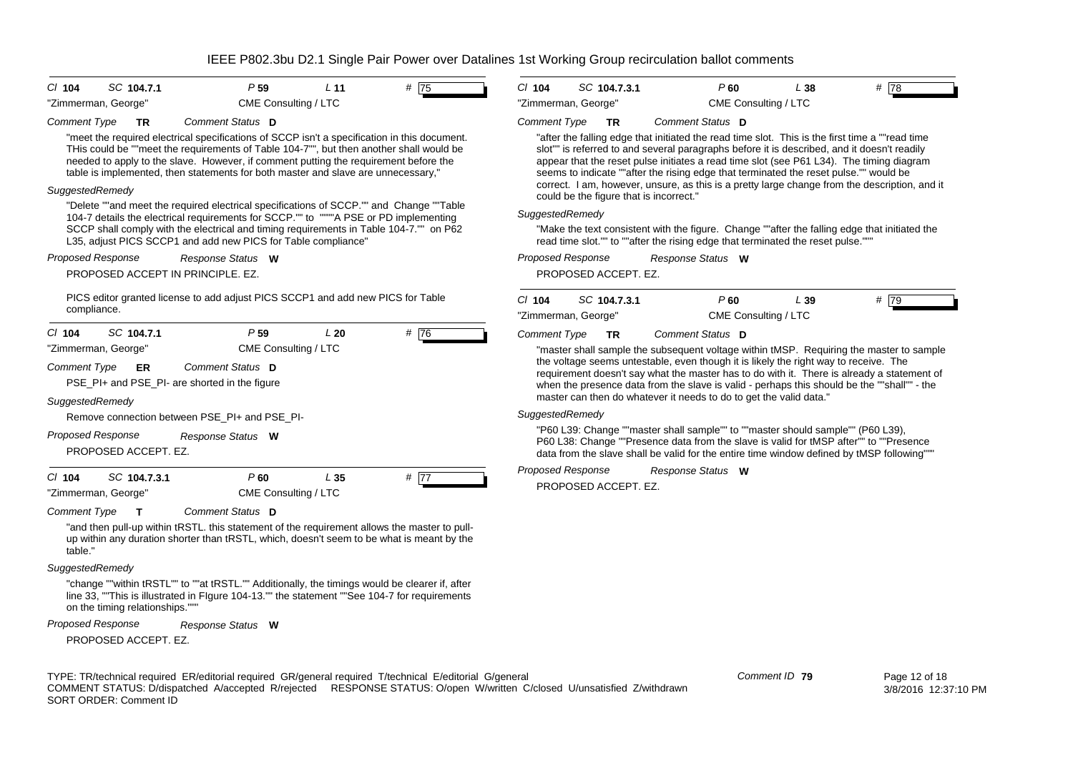| CI 104<br>SC 104.7.1                                                                                                                                                                                                                                                                                                                                                                              | P <sub>59</sub>                                               | L <sub>11</sub> | # 75              | $Cl$ 104                 | SC 104.7.3.1                            | P60                                                                                                                                                                                                                                                                                                                                                                                                                                                                                                                                                                                                                                                                                                                         | L38 | # 78 |
|---------------------------------------------------------------------------------------------------------------------------------------------------------------------------------------------------------------------------------------------------------------------------------------------------------------------------------------------------------------------------------------------------|---------------------------------------------------------------|-----------------|-------------------|--------------------------|-----------------------------------------|-----------------------------------------------------------------------------------------------------------------------------------------------------------------------------------------------------------------------------------------------------------------------------------------------------------------------------------------------------------------------------------------------------------------------------------------------------------------------------------------------------------------------------------------------------------------------------------------------------------------------------------------------------------------------------------------------------------------------------|-----|------|
| "Zimmerman, George"                                                                                                                                                                                                                                                                                                                                                                               | CME Consulting / LTC                                          |                 |                   | "Zimmerman, George"      |                                         | CME Consulting / LTC                                                                                                                                                                                                                                                                                                                                                                                                                                                                                                                                                                                                                                                                                                        |     |      |
| <b>Comment Type</b><br>TR<br>"meet the required electrical specifications of SCCP isn't a specification in this document.<br>THis could be ""meet the requirements of Table 104-7"", but then another shall would be<br>needed to apply to the slave. However, if comment putting the requirement before the<br>table is implemented, then statements for both master and slave are unnecessary," | Comment Status D                                              |                 |                   | <b>Comment Type</b>      | TR                                      | Comment Status D<br>"after the falling edge that initiated the read time slot. This is the first time a ""read time<br>slot"" is referred to and several paragraphs before it is described, and it doesn't readily<br>appear that the reset pulse initiates a read time slot (see P61 L34). The timing diagram<br>seems to indicate ""after the rising edge that terminated the reset pulse."" would be                                                                                                                                                                                                                                                                                                                     |     |      |
| SuggestedRemedy                                                                                                                                                                                                                                                                                                                                                                                   |                                                               |                 |                   |                          | could be the figure that is incorrect." | correct. I am, however, unsure, as this is a pretty large change from the description, and it                                                                                                                                                                                                                                                                                                                                                                                                                                                                                                                                                                                                                               |     |      |
| "Delete ""and meet the required electrical specifications of SCCP."" and Change ""Table<br>104-7 details the electrical requirements for SCCP."" to """"A PSE or PD implementing<br>SCCP shall comply with the electrical and timing requirements in Table 104-7."" on P62<br>L35, adjust PICS SCCP1 and add new PICS for Table compliance"                                                       |                                                               |                 |                   | SuggestedRemedy          |                                         | "Make the text consistent with the figure. Change ""after the falling edge that initiated the<br>read time slot."" to ""after the rising edge that terminated the reset pulse.""                                                                                                                                                                                                                                                                                                                                                                                                                                                                                                                                            |     |      |
| Proposed Response                                                                                                                                                                                                                                                                                                                                                                                 | Response Status W                                             |                 |                   | Proposed Response        |                                         | Response Status W                                                                                                                                                                                                                                                                                                                                                                                                                                                                                                                                                                                                                                                                                                           |     |      |
| PROPOSED ACCEPT IN PRINCIPLE, EZ.                                                                                                                                                                                                                                                                                                                                                                 |                                                               |                 |                   |                          | PROPOSED ACCEPT. EZ.                    |                                                                                                                                                                                                                                                                                                                                                                                                                                                                                                                                                                                                                                                                                                                             |     |      |
| PICS editor granted license to add adjust PICS SCCP1 and add new PICS for Table                                                                                                                                                                                                                                                                                                                   |                                                               |                 |                   | $Cl$ 104                 | SC 104.7.3.1                            | P60                                                                                                                                                                                                                                                                                                                                                                                                                                                                                                                                                                                                                                                                                                                         | L39 | # 79 |
| compliance.                                                                                                                                                                                                                                                                                                                                                                                       |                                                               |                 |                   |                          | "Zimmerman, George"                     | CME Consulting / LTC                                                                                                                                                                                                                                                                                                                                                                                                                                                                                                                                                                                                                                                                                                        |     |      |
| "Zimmerman, George"<br><b>Comment Type</b><br>ER<br>PSE_PI+ and PSE_PI- are shorted in the figure<br>SuggestedRemedy<br>Remove connection between PSE PI+ and PSE PI-<br><b>Proposed Response</b><br>PROPOSED ACCEPT. EZ.                                                                                                                                                                         | CME Consulting / LTC<br>Comment Status D<br>Response Status W |                 |                   | SuggestedRemedy          |                                         | "master shall sample the subsequent voltage within tMSP. Requiring the master to sample<br>the voltage seems untestable, even though it is likely the right way to receive. The<br>requirement doesn't say what the master has to do with it. There is already a statement of<br>when the presence data from the slave is valid - perhaps this should be the ""shall"" - the<br>master can then do whatever it needs to do to get the valid data.<br>"P60 L39: Change ""master shall sample"" to ""master should sample"" (P60 L39),<br>P60 L38: Change ""Presence data from the slave is valid for tMSP after"" to ""Presence<br>data from the slave shall be valid for the entire time window defined by tMSP following"" |     |      |
| $Cl$ 104<br>SC 104.7.3.1<br>"Zimmerman, George"                                                                                                                                                                                                                                                                                                                                                   | $P$ 60<br>CME Consulting / LTC                                | L <sub>35</sub> | # $\overline{77}$ | <b>Proposed Response</b> | PROPOSED ACCEPT. EZ.                    | Response Status W                                                                                                                                                                                                                                                                                                                                                                                                                                                                                                                                                                                                                                                                                                           |     |      |
| <b>Comment Type</b><br>$\mathsf{T}$<br>"and then pull-up within tRSTL. this statement of the requirement allows the master to pull-<br>up within any duration shorter than tRSTL, which, doesn't seem to be what is meant by the<br>table."                                                                                                                                                       | Comment Status D                                              |                 |                   |                          |                                         |                                                                                                                                                                                                                                                                                                                                                                                                                                                                                                                                                                                                                                                                                                                             |     |      |
| SuggestedRemedy                                                                                                                                                                                                                                                                                                                                                                                   |                                                               |                 |                   |                          |                                         |                                                                                                                                                                                                                                                                                                                                                                                                                                                                                                                                                                                                                                                                                                                             |     |      |
| "change ""within tRSTL"" to ""at tRSTL."" Additionally, the timings would be clearer if, after<br>line 33. "This is illustrated in Flgure 104-13."" the statement ""See 104-7 for requirements<br>on the timing relationships."""                                                                                                                                                                 |                                                               |                 |                   |                          |                                         |                                                                                                                                                                                                                                                                                                                                                                                                                                                                                                                                                                                                                                                                                                                             |     |      |
| <b>Proposed Response</b>                                                                                                                                                                                                                                                                                                                                                                          | Response Status W                                             |                 |                   |                          |                                         |                                                                                                                                                                                                                                                                                                                                                                                                                                                                                                                                                                                                                                                                                                                             |     |      |
| PROPOSED ACCEPT. EZ.                                                                                                                                                                                                                                                                                                                                                                              |                                                               |                 |                   |                          |                                         |                                                                                                                                                                                                                                                                                                                                                                                                                                                                                                                                                                                                                                                                                                                             |     |      |
|                                                                                                                                                                                                                                                                                                                                                                                                   |                                                               |                 |                   |                          |                                         |                                                                                                                                                                                                                                                                                                                                                                                                                                                                                                                                                                                                                                                                                                                             |     |      |

TYPE: TR/technical required ER/editorial required GR/general required T/technical E/editorial G/general COMMENT STATUS: D/dispatched A/accepted R/rejected RESPONSE STATUS: O/open W/written C/closed U/unsatisfied Z/withdrawn SORT ORDER: Comment ID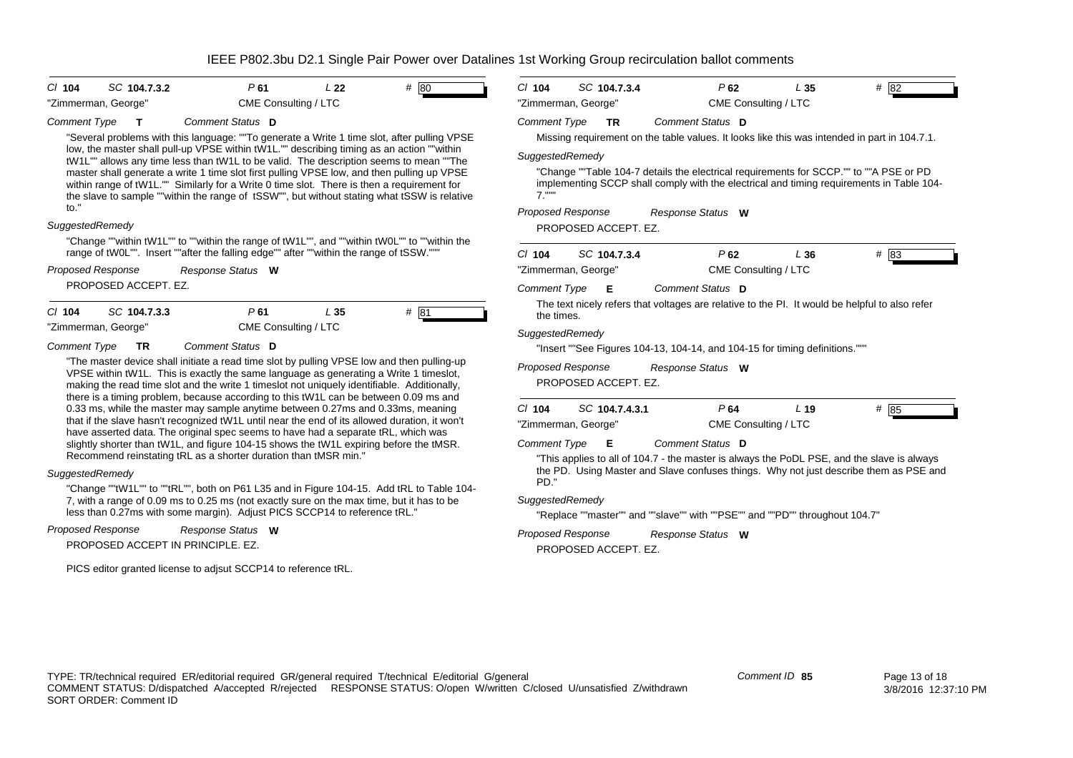| $Cl$ 104                                                                                                                                                                                                                                                                                                                                                                                                                                                                                                                                                | SC 104.7.3.2                                                                                                                                                                                                                                                                            | P61                  | L <sub>22</sub> | # 80 | $Cl$ 104                 |  | SC 104.7.3.4         |  | P62                                                                         | L35             | # 82                                                                                                                                                                               |
|---------------------------------------------------------------------------------------------------------------------------------------------------------------------------------------------------------------------------------------------------------------------------------------------------------------------------------------------------------------------------------------------------------------------------------------------------------------------------------------------------------------------------------------------------------|-----------------------------------------------------------------------------------------------------------------------------------------------------------------------------------------------------------------------------------------------------------------------------------------|----------------------|-----------------|------|--------------------------|--|----------------------|--|-----------------------------------------------------------------------------|-----------------|------------------------------------------------------------------------------------------------------------------------------------------------------------------------------------|
| "Zimmerman, George"                                                                                                                                                                                                                                                                                                                                                                                                                                                                                                                                     |                                                                                                                                                                                                                                                                                         | CME Consulting / LTC |                 |      | "Zimmerman, George"      |  |                      |  | CME Consulting / LTC                                                        |                 |                                                                                                                                                                                    |
| <b>Comment Type</b>                                                                                                                                                                                                                                                                                                                                                                                                                                                                                                                                     | т                                                                                                                                                                                                                                                                                       | Comment Status D     |                 |      | <b>Comment Type</b>      |  | <b>TR</b>            |  | Comment Status D                                                            |                 |                                                                                                                                                                                    |
|                                                                                                                                                                                                                                                                                                                                                                                                                                                                                                                                                         | "Several problems with this language: ""To generate a Write 1 time slot, after pulling VPSE                                                                                                                                                                                             |                      |                 |      |                          |  |                      |  |                                                                             |                 | Missing requirement on the table values. It looks like this was intended in part in 104.7.1.                                                                                       |
|                                                                                                                                                                                                                                                                                                                                                                                                                                                                                                                                                         | low, the master shall pull-up VPSE within tW1L."" describing timing as an action ""within<br>tW1L"" allows any time less than tW1L to be valid. The description seems to mean ""The                                                                                                     |                      |                 |      | SuggestedRemedy          |  |                      |  |                                                                             |                 |                                                                                                                                                                                    |
|                                                                                                                                                                                                                                                                                                                                                                                                                                                                                                                                                         | master shall generate a write 1 time slot first pulling VPSE low, and then pulling up VPSE<br>within range of tW1L."" Similarly for a Write 0 time slot. There is then a requirement for<br>the slave to sample ""within the range of tSSW"", but without stating what tSSW is relative |                      |                 |      | $7.$ """                 |  |                      |  |                                                                             |                 | "Change ""Table 104-7 details the electrical requirements for SCCP."" to ""A PSE or PD<br>implementing SCCP shall comply with the electrical and timing requirements in Table 104- |
| to."                                                                                                                                                                                                                                                                                                                                                                                                                                                                                                                                                    |                                                                                                                                                                                                                                                                                         |                      |                 |      | Proposed Response        |  |                      |  | Response Status W                                                           |                 |                                                                                                                                                                                    |
| SuggestedRemedy                                                                                                                                                                                                                                                                                                                                                                                                                                                                                                                                         |                                                                                                                                                                                                                                                                                         |                      |                 |      |                          |  | PROPOSED ACCEPT. EZ. |  |                                                                             |                 |                                                                                                                                                                                    |
|                                                                                                                                                                                                                                                                                                                                                                                                                                                                                                                                                         | "Change ""within tW1L"" to ""within the range of tW1L"", and ""within tW0L"" to ""within the<br>range of tW0L"". Insert ""after the falling edge"" after ""within the range of tSSW."""                                                                                                 |                      |                 |      | $Cl$ 104                 |  | SC 104.7.3.4         |  | P62                                                                         | L36             | # 83                                                                                                                                                                               |
| <b>Proposed Response</b>                                                                                                                                                                                                                                                                                                                                                                                                                                                                                                                                |                                                                                                                                                                                                                                                                                         | Response Status W    |                 |      | "Zimmerman, George"      |  |                      |  | CME Consulting / LTC                                                        |                 |                                                                                                                                                                                    |
|                                                                                                                                                                                                                                                                                                                                                                                                                                                                                                                                                         | PROPOSED ACCEPT. EZ.                                                                                                                                                                                                                                                                    |                      |                 |      | <b>Comment Type</b>      |  | Е                    |  | Comment Status D                                                            |                 |                                                                                                                                                                                    |
| $Cl$ 104                                                                                                                                                                                                                                                                                                                                                                                                                                                                                                                                                | SC 104.7.3.3                                                                                                                                                                                                                                                                            | P61                  | L35             | # 81 | the times.               |  |                      |  |                                                                             |                 | The text nicely refers that voltages are relative to the PI. It would be helpful to also refer                                                                                     |
|                                                                                                                                                                                                                                                                                                                                                                                                                                                                                                                                                         |                                                                                                                                                                                                                                                                                         |                      |                 |      | SuggestedRemedy          |  |                      |  |                                                                             |                 |                                                                                                                                                                                    |
|                                                                                                                                                                                                                                                                                                                                                                                                                                                                                                                                                         | TR.                                                                                                                                                                                                                                                                                     |                      |                 |      |                          |  |                      |  | "Insert ""See Figures 104-13, 104-14, and 104-15 for timing definitions.""" |                 |                                                                                                                                                                                    |
| "Zimmerman, George"<br>CME Consulting / LTC<br>Comment Status D<br><b>Comment Type</b><br>"The master device shall initiate a read time slot by pulling VPSE low and then pulling-up<br>VPSE within tW1L. This is exactly the same language as generating a Write 1 timeslot,<br>making the read time slot and the write 1 timeslot not uniquely identifiable. Additionally,<br>there is a timing problem, because according to this tW1L can be between 0.09 ms and<br>0.33 ms, while the master may sample anytime between 0.27ms and 0.33ms, meaning | <b>Proposed Response</b><br>Response Status W<br>PROPOSED ACCEPT. EZ.                                                                                                                                                                                                                   |                      |                 |      |                          |  |                      |  |                                                                             |                 |                                                                                                                                                                                    |
|                                                                                                                                                                                                                                                                                                                                                                                                                                                                                                                                                         |                                                                                                                                                                                                                                                                                         |                      |                 |      | $Cl$ 104                 |  | SC 104.7.4.3.1       |  | P64                                                                         | L <sub>19</sub> | # 85                                                                                                                                                                               |
|                                                                                                                                                                                                                                                                                                                                                                                                                                                                                                                                                         | that if the slave hasn't recognized tW1L until near the end of its allowed duration, it won't<br>have asserted data. The original spec seems to have had a separate tRL, which was                                                                                                      |                      |                 |      | "Zimmerman, George"      |  |                      |  | CME Consulting / LTC                                                        |                 |                                                                                                                                                                                    |
|                                                                                                                                                                                                                                                                                                                                                                                                                                                                                                                                                         | slightly shorter than tW1L, and figure 104-15 shows the tW1L expiring before the tMSR.                                                                                                                                                                                                  |                      |                 |      | <b>Comment Type</b>      |  | E                    |  | Comment Status D                                                            |                 |                                                                                                                                                                                    |
|                                                                                                                                                                                                                                                                                                                                                                                                                                                                                                                                                         | Recommend reinstating tRL as a shorter duration than tMSR min."                                                                                                                                                                                                                         |                      |                 |      |                          |  |                      |  |                                                                             |                 | "This applies to all of 104.7 - the master is always the PoDL PSE, and the slave is always                                                                                         |
| SuggestedRemedy                                                                                                                                                                                                                                                                                                                                                                                                                                                                                                                                         |                                                                                                                                                                                                                                                                                         |                      |                 |      | PD."                     |  |                      |  |                                                                             |                 | the PD. Using Master and Slave confuses things. Why not just describe them as PSE and                                                                                              |
|                                                                                                                                                                                                                                                                                                                                                                                                                                                                                                                                                         | "Change ""tW1L"" to ""tRL"", both on P61 L35 and in Figure 104-15. Add tRL to Table 104-<br>7, with a range of 0.09 ms to 0.25 ms (not exactly sure on the max time, but it has to be                                                                                                   |                      |                 |      | SuggestedRemedy          |  |                      |  |                                                                             |                 |                                                                                                                                                                                    |
|                                                                                                                                                                                                                                                                                                                                                                                                                                                                                                                                                         | less than 0.27ms with some margin). Adjust PICS SCCP14 to reference tRL."                                                                                                                                                                                                               |                      |                 |      |                          |  |                      |  | "Replace ""master"" and ""slave"" with ""PSE"" and ""PD"" throughout 104.7" |                 |                                                                                                                                                                                    |
| <b>Proposed Response</b>                                                                                                                                                                                                                                                                                                                                                                                                                                                                                                                                |                                                                                                                                                                                                                                                                                         | Response Status W    |                 |      | <b>Proposed Response</b> |  |                      |  | Response Status W                                                           |                 |                                                                                                                                                                                    |
|                                                                                                                                                                                                                                                                                                                                                                                                                                                                                                                                                         | PROPOSED ACCEPT IN PRINCIPLE. EZ.                                                                                                                                                                                                                                                       |                      |                 |      |                          |  | PROPOSED ACCEPT. EZ. |  |                                                                             |                 |                                                                                                                                                                                    |
|                                                                                                                                                                                                                                                                                                                                                                                                                                                                                                                                                         | PICS editor granted license to adjsut SCCP14 to reference tRL.                                                                                                                                                                                                                          |                      |                 |      |                          |  |                      |  |                                                                             |                 |                                                                                                                                                                                    |
|                                                                                                                                                                                                                                                                                                                                                                                                                                                                                                                                                         |                                                                                                                                                                                                                                                                                         |                      |                 |      |                          |  |                      |  |                                                                             |                 |                                                                                                                                                                                    |
|                                                                                                                                                                                                                                                                                                                                                                                                                                                                                                                                                         |                                                                                                                                                                                                                                                                                         |                      |                 |      |                          |  |                      |  |                                                                             |                 |                                                                                                                                                                                    |
|                                                                                                                                                                                                                                                                                                                                                                                                                                                                                                                                                         |                                                                                                                                                                                                                                                                                         |                      |                 |      |                          |  |                      |  |                                                                             |                 |                                                                                                                                                                                    |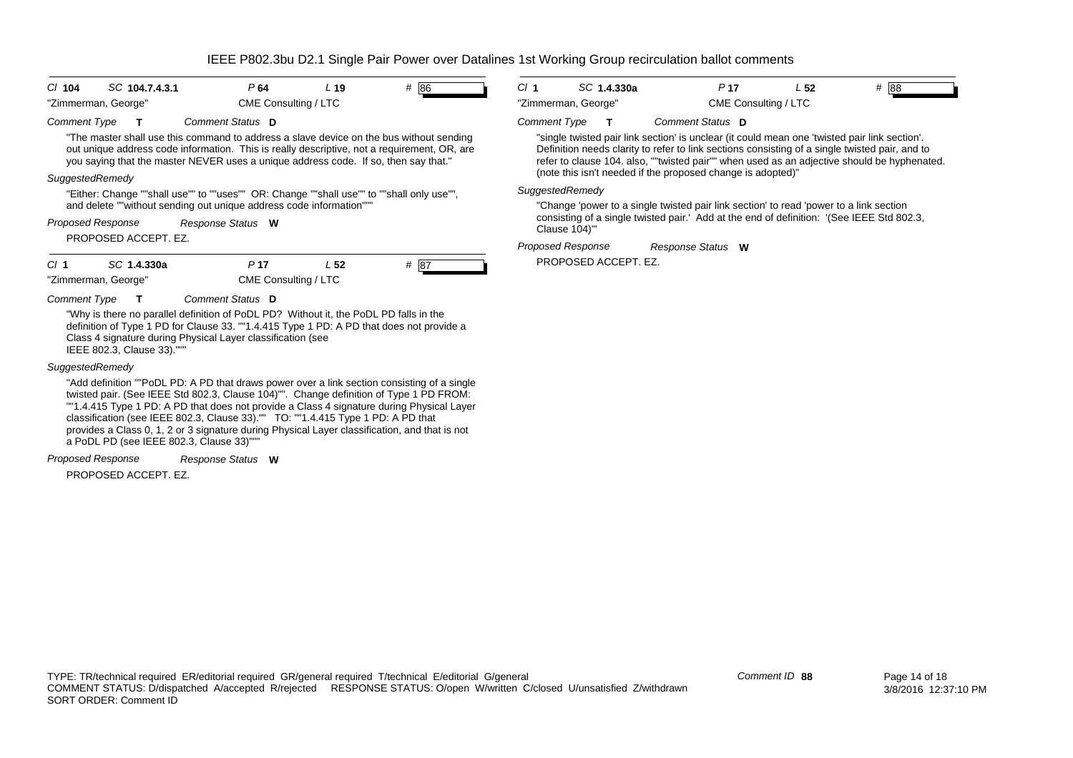| $Cl$ 104                                                                                                            | SC 104.7.4.3.1            | P64                                                                                                                                                  |                      | L <sub>19</sub> | $#$ 86                                                                                                                                                                                                                                                                                                                                                                              |                                                                                                                                                                                                     | Cl <sub>1</sub>          |                      | SC 1.4.330a | P <sub>17</sub>                                                                                                                                                                                                                                                                                                                                               | L <sub>52</sub>      | # 88 |
|---------------------------------------------------------------------------------------------------------------------|---------------------------|------------------------------------------------------------------------------------------------------------------------------------------------------|----------------------|-----------------|-------------------------------------------------------------------------------------------------------------------------------------------------------------------------------------------------------------------------------------------------------------------------------------------------------------------------------------------------------------------------------------|-----------------------------------------------------------------------------------------------------------------------------------------------------------------------------------------------------|--------------------------|----------------------|-------------|---------------------------------------------------------------------------------------------------------------------------------------------------------------------------------------------------------------------------------------------------------------------------------------------------------------------------------------------------------------|----------------------|------|
| "Zimmerman, George"                                                                                                 |                           |                                                                                                                                                      | CME Consulting / LTC |                 |                                                                                                                                                                                                                                                                                                                                                                                     |                                                                                                                                                                                                     | "Zimmerman, George"      |                      |             |                                                                                                                                                                                                                                                                                                                                                               | CME Consulting / LTC |      |
| <b>Comment Type</b>                                                                                                 |                           | Comment Status D                                                                                                                                     |                      |                 |                                                                                                                                                                                                                                                                                                                                                                                     |                                                                                                                                                                                                     | <b>Comment Type</b>      | $\mathbf{T}$         |             | <b>Comment Status</b> D                                                                                                                                                                                                                                                                                                                                       |                      |      |
|                                                                                                                     |                           | you saying that the master NEVER uses a unique address code. If so, then say that."                                                                  |                      |                 | "The master shall use this command to address a slave device on the bus without sending<br>out unique address code information. This is really descriptive, not a requirement, OR, are                                                                                                                                                                                              |                                                                                                                                                                                                     |                          |                      |             | "single twisted pair link section' is unclear (it could mean one 'twisted pair link section'.<br>Definition needs clarity to refer to link sections consisting of a single twisted pair, and to<br>refer to clause 104. also, ""twisted pair"" when used as an adjective should be hyphenated.<br>(note this isn't needed if the proposed change is adopted)" |                      |      |
| SuggestedRemedy                                                                                                     |                           |                                                                                                                                                      |                      |                 |                                                                                                                                                                                                                                                                                                                                                                                     |                                                                                                                                                                                                     | SuggestedRemedy          |                      |             |                                                                                                                                                                                                                                                                                                                                                               |                      |      |
| "Either: Change ""shall use"" to ""uses"" OR: Change ""shall use"" to ""shall only use"",                           |                           |                                                                                                                                                      |                      |                 |                                                                                                                                                                                                                                                                                                                                                                                     |                                                                                                                                                                                                     |                          |                      |             |                                                                                                                                                                                                                                                                                                                                                               |                      |      |
| and delete ""without sending out unique address code information""<br><b>Proposed Response</b><br>Response Status W |                           |                                                                                                                                                      |                      |                 |                                                                                                                                                                                                                                                                                                                                                                                     | "Change 'power to a single twisted pair link section' to read 'power to a link section<br>consisting of a single twisted pair.' Add at the end of definition: '(See IEEE Std 802.3,<br>Clause 104)" |                          |                      |             |                                                                                                                                                                                                                                                                                                                                                               |                      |      |
|                                                                                                                     | PROPOSED ACCEPT. EZ.      |                                                                                                                                                      |                      |                 |                                                                                                                                                                                                                                                                                                                                                                                     |                                                                                                                                                                                                     | <b>Proposed Response</b> |                      |             | Response Status W                                                                                                                                                                                                                                                                                                                                             |                      |      |
| CI <sub>1</sub>                                                                                                     | SC 1.4.330a               | P <sub>17</sub>                                                                                                                                      |                      | L <sub>52</sub> | # 87                                                                                                                                                                                                                                                                                                                                                                                |                                                                                                                                                                                                     |                          | PROPOSED ACCEPT. EZ. |             |                                                                                                                                                                                                                                                                                                                                                               |                      |      |
| "Zimmerman, George"                                                                                                 |                           |                                                                                                                                                      | CME Consulting / LTC |                 |                                                                                                                                                                                                                                                                                                                                                                                     |                                                                                                                                                                                                     |                          |                      |             |                                                                                                                                                                                                                                                                                                                                                               |                      |      |
| Comment Type                                                                                                        |                           | Comment Status D                                                                                                                                     |                      |                 |                                                                                                                                                                                                                                                                                                                                                                                     |                                                                                                                                                                                                     |                          |                      |             |                                                                                                                                                                                                                                                                                                                                                               |                      |      |
|                                                                                                                     | IEEE 802.3, Clause 33)."" | "Why is there no parallel definition of PoDL PD? Without it, the PoDL PD falls in the<br>Class 4 signature during Physical Layer classification (see |                      |                 | definition of Type 1 PD for Clause 33. ""1.4.415 Type 1 PD: A PD that does not provide a                                                                                                                                                                                                                                                                                            |                                                                                                                                                                                                     |                          |                      |             |                                                                                                                                                                                                                                                                                                                                                               |                      |      |
| SuggestedRemedy                                                                                                     |                           |                                                                                                                                                      |                      |                 |                                                                                                                                                                                                                                                                                                                                                                                     |                                                                                                                                                                                                     |                          |                      |             |                                                                                                                                                                                                                                                                                                                                                               |                      |      |
|                                                                                                                     |                           | classification (see IEEE 802.3, Clause 33)."" TO: ""1.4.415 Type 1 PD: A PD that<br>a PoDL PD (see IEEE 802.3, Clause 33)""                          |                      |                 | "Add definition ""PoDL PD: A PD that draws power over a link section consisting of a single<br>twisted pair. (See IEEE Std 802.3, Clause 104)"". Change definition of Type 1 PD FROM:<br>""1.4.415 Type 1 PD: A PD that does not provide a Class 4 signature during Physical Layer<br>provides a Class 0, 1, 2 or 3 signature during Physical Layer classification, and that is not |                                                                                                                                                                                                     |                          |                      |             |                                                                                                                                                                                                                                                                                                                                                               |                      |      |
| Proposed Response                                                                                                   |                           | Response Status W                                                                                                                                    |                      |                 |                                                                                                                                                                                                                                                                                                                                                                                     |                                                                                                                                                                                                     |                          |                      |             |                                                                                                                                                                                                                                                                                                                                                               |                      |      |

PROPOSED ACCEPT. EZ.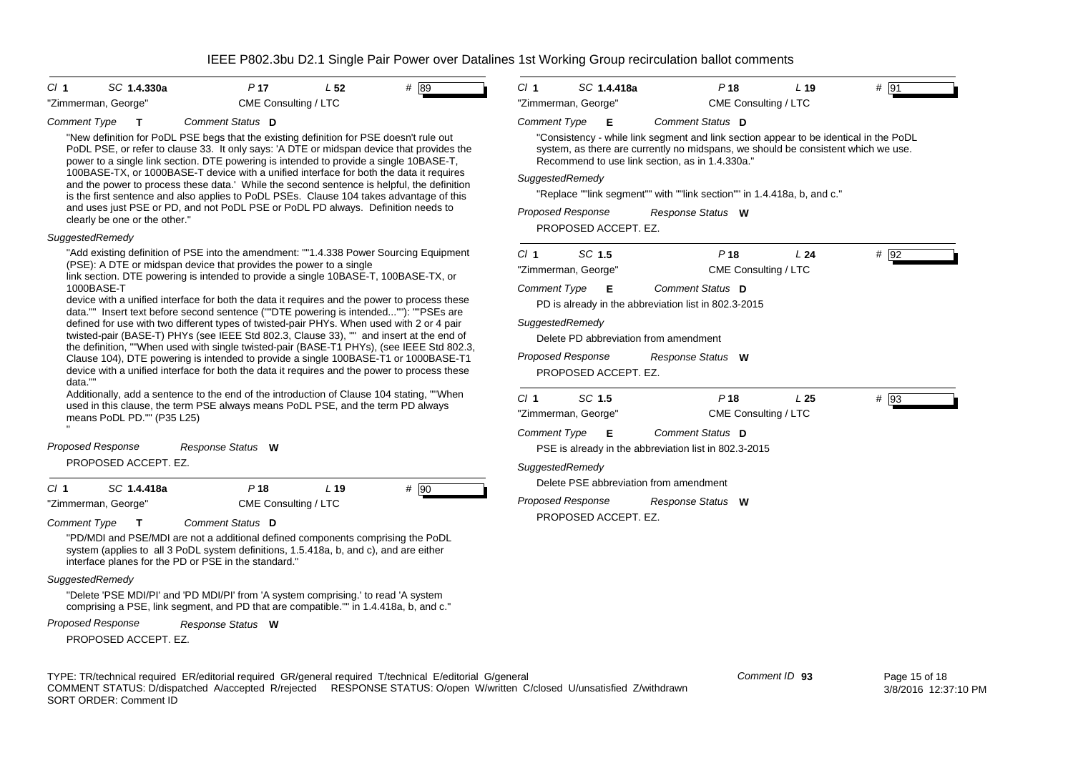| CI 1<br>SC 1.4.330a                                                                                                                                                                                                                                                                                                                                                                                                                                                                                                                                                                                                                                                                                                                                                                                                                                                                                                                                                                                                                                                                                                                                                                                                                                                                                                                                                                                                                                                                                                                                                                                                                                                                                   | P <sub>17</sub>      | L <sub>52</sub> | # 89 | Cl <sub>1</sub>                                                                                     | SC 1.4.418a                                                                                                                                     | P <sub>18</sub>                                                                                                                                                                                                                                                                                                                                                                                                                                                                                                                        | L <sub>19</sub> | $#$ 91 |  |
|-------------------------------------------------------------------------------------------------------------------------------------------------------------------------------------------------------------------------------------------------------------------------------------------------------------------------------------------------------------------------------------------------------------------------------------------------------------------------------------------------------------------------------------------------------------------------------------------------------------------------------------------------------------------------------------------------------------------------------------------------------------------------------------------------------------------------------------------------------------------------------------------------------------------------------------------------------------------------------------------------------------------------------------------------------------------------------------------------------------------------------------------------------------------------------------------------------------------------------------------------------------------------------------------------------------------------------------------------------------------------------------------------------------------------------------------------------------------------------------------------------------------------------------------------------------------------------------------------------------------------------------------------------------------------------------------------------|----------------------|-----------------|------|-----------------------------------------------------------------------------------------------------|-------------------------------------------------------------------------------------------------------------------------------------------------|----------------------------------------------------------------------------------------------------------------------------------------------------------------------------------------------------------------------------------------------------------------------------------------------------------------------------------------------------------------------------------------------------------------------------------------------------------------------------------------------------------------------------------------|-----------------|--------|--|
| "Zimmerman, George"                                                                                                                                                                                                                                                                                                                                                                                                                                                                                                                                                                                                                                                                                                                                                                                                                                                                                                                                                                                                                                                                                                                                                                                                                                                                                                                                                                                                                                                                                                                                                                                                                                                                                   | CME Consulting / LTC |                 |      |                                                                                                     | "Zimmerman, George"                                                                                                                             | CME Consulting / LTC                                                                                                                                                                                                                                                                                                                                                                                                                                                                                                                   |                 |        |  |
| Comment Type<br>$\mathbf T$<br>"New definition for PoDL PSE begs that the existing definition for PSE doesn't rule out<br>PoDL PSE, or refer to clause 33. It only says: 'A DTE or midspan device that provides the<br>power to a single link section. DTE powering is intended to provide a single 10BASE-T,<br>100BASE-TX, or 1000BASE-T device with a unified interface for both the data it requires<br>and the power to process these data.' While the second sentence is helpful, the definition<br>is the first sentence and also applies to PoDL PSEs. Clause 104 takes advantage of this<br>and uses just PSE or PD, and not PoDL PSE or PoDL PD always. Definition needs to<br>clearly be one or the other."<br><b>SuggestedRemedy</b><br>"Add existing definition of PSE into the amendment: ""1.4.338 Power Sourcing Equipment<br>(PSE): A DTE or midspan device that provides the power to a single<br>link section. DTE powering is intended to provide a single 10BASE-T, 100BASE-TX, or<br>1000BASE-T<br>device with a unified interface for both the data it requires and the power to process these<br>data."" Insert text before second sentence (""DTE powering is intended""): ""PSEs are<br>defined for use with two different types of twisted-pair PHYs. When used with 2 or 4 pair<br>twisted-pair (BASE-T) PHYs (see IEEE Std 802.3, Clause 33), "" and insert at the end of<br>the definition, ""When used with single twisted-pair (BASE-T1 PHYs), (see IEEE Std 802.3,<br>Clause 104), DTE powering is intended to provide a single 100BASE-T1 or 1000BASE-T1<br>device with a unified interface for both the data it requires and the power to process these<br>data."" | Comment Status D     |                 |      | <b>Comment Type</b><br>SuggestedRemedy<br>Cl <sub>1</sub><br><b>Comment Type</b><br>SuggestedRemedy | Е<br><b>Proposed Response</b><br>PROPOSED ACCEPT. EZ.<br>SC 1.5<br>"Zimmerman, George"<br>Е<br><b>Proposed Response</b><br>PROPOSED ACCEPT. EZ. | Comment Status D<br>"Consistency - while link segment and link section appear to be identical in the PoDL<br>system, as there are currently no midspans, we should be consistent which we use.<br>Recommend to use link section, as in 1.4.330a."<br>"Replace ""link segment"" with ""link section"" in 1.4.418a, b, and c."<br>Response Status W<br>P <sub>18</sub><br>CME Consulting / LTC<br>Comment Status D<br>PD is already in the abbreviation list in 802.3-2015<br>Delete PD abbreviation from amendment<br>Response Status W | L24             | $#$ 92 |  |
| Additionally, add a sentence to the end of the introduction of Clause 104 stating, ""When<br>used in this clause, the term PSE always means PoDL PSE, and the term PD always<br>means PoDL PD."" (P35 L25)                                                                                                                                                                                                                                                                                                                                                                                                                                                                                                                                                                                                                                                                                                                                                                                                                                                                                                                                                                                                                                                                                                                                                                                                                                                                                                                                                                                                                                                                                            |                      |                 |      | Cl <sub>1</sub><br><b>Comment Type</b>                                                              | SC 1.5<br>"Zimmerman, George"<br>Е                                                                                                              | P <sub>18</sub><br>CME Consulting / LTC<br>Comment Status D                                                                                                                                                                                                                                                                                                                                                                                                                                                                            | L <sub>25</sub> | $#$ 93 |  |
| Proposed Response                                                                                                                                                                                                                                                                                                                                                                                                                                                                                                                                                                                                                                                                                                                                                                                                                                                                                                                                                                                                                                                                                                                                                                                                                                                                                                                                                                                                                                                                                                                                                                                                                                                                                     | Response Status W    |                 |      |                                                                                                     |                                                                                                                                                 | PSE is already in the abbreviation list in 802.3-2015                                                                                                                                                                                                                                                                                                                                                                                                                                                                                  |                 |        |  |
| PROPOSED ACCEPT. EZ.                                                                                                                                                                                                                                                                                                                                                                                                                                                                                                                                                                                                                                                                                                                                                                                                                                                                                                                                                                                                                                                                                                                                                                                                                                                                                                                                                                                                                                                                                                                                                                                                                                                                                  |                      |                 |      | SuggestedRemedy                                                                                     |                                                                                                                                                 |                                                                                                                                                                                                                                                                                                                                                                                                                                                                                                                                        |                 |        |  |
| SC 1.4.418a<br>CI 1                                                                                                                                                                                                                                                                                                                                                                                                                                                                                                                                                                                                                                                                                                                                                                                                                                                                                                                                                                                                                                                                                                                                                                                                                                                                                                                                                                                                                                                                                                                                                                                                                                                                                   | $P$ 18               | L <sub>19</sub> | # 90 |                                                                                                     |                                                                                                                                                 | Delete PSE abbreviation from amendment                                                                                                                                                                                                                                                                                                                                                                                                                                                                                                 |                 |        |  |
| "Zimmerman, George"                                                                                                                                                                                                                                                                                                                                                                                                                                                                                                                                                                                                                                                                                                                                                                                                                                                                                                                                                                                                                                                                                                                                                                                                                                                                                                                                                                                                                                                                                                                                                                                                                                                                                   | CME Consulting / LTC |                 |      |                                                                                                     | <b>Proposed Response</b>                                                                                                                        | Response Status W                                                                                                                                                                                                                                                                                                                                                                                                                                                                                                                      |                 |        |  |
| Comment Type                                                                                                                                                                                                                                                                                                                                                                                                                                                                                                                                                                                                                                                                                                                                                                                                                                                                                                                                                                                                                                                                                                                                                                                                                                                                                                                                                                                                                                                                                                                                                                                                                                                                                          | Comment Status D     |                 |      |                                                                                                     | PROPOSED ACCEPT. EZ.                                                                                                                            |                                                                                                                                                                                                                                                                                                                                                                                                                                                                                                                                        |                 |        |  |
| "PD/MDI and PSE/MDI are not a additional defined components comprising the PoDL                                                                                                                                                                                                                                                                                                                                                                                                                                                                                                                                                                                                                                                                                                                                                                                                                                                                                                                                                                                                                                                                                                                                                                                                                                                                                                                                                                                                                                                                                                                                                                                                                       |                      |                 |      |                                                                                                     |                                                                                                                                                 |                                                                                                                                                                                                                                                                                                                                                                                                                                                                                                                                        |                 |        |  |

*SuggestedRemedy*

"Delete 'PSE MDI/PI' and 'PD MDI/PI' from 'A system comprising.' to read 'A system comprising a PSE, link segment, and PD that are compatible."" in 1.4.418a, b, and c."

system (applies to all 3 PoDL system definitions, 1.5.418a, b, and c), and are either

*Proposed Response Response Status* **W**

interface planes for the PD or PSE in the standard."

PROPOSED ACCEPT. EZ.

TYPE: TR/technical required ER/editorial required GR/general required T/technical E/editorial G/general COMMENT STATUS: D/dispatched A/accepted R/rejected RESPONSE STATUS: O/open W/written C/closed U/unsatisfied Z/withdrawn SORT ORDER: Comment ID

*Comment ID* **93**

 Page 15 of 18 3/8/2016 12:37:10 PM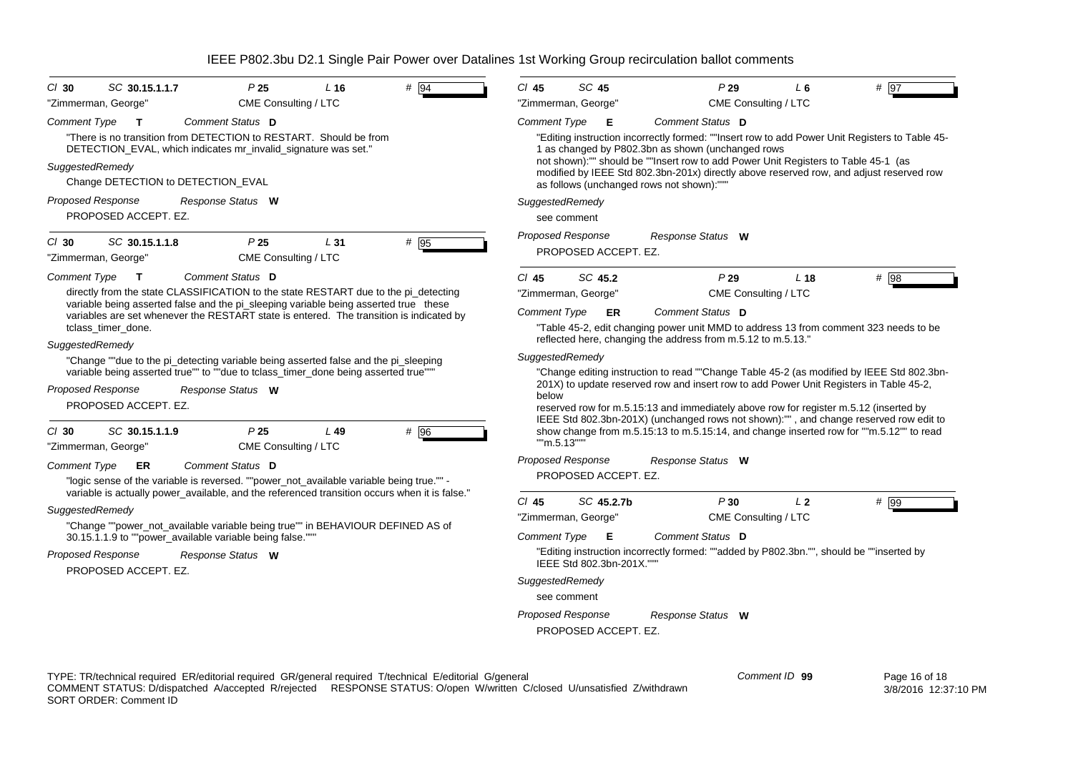| $#$ 94<br>$Cl$ 30<br>SC 30.15.1.1.7<br>P <sub>25</sub><br>L <sub>16</sub>                                                                                                                                                                                    | $Cl$ 45<br>SC 45<br>P29<br># 97<br>$L_6$                                                                                                                                                                                                                                                                                                                                       |
|--------------------------------------------------------------------------------------------------------------------------------------------------------------------------------------------------------------------------------------------------------------|--------------------------------------------------------------------------------------------------------------------------------------------------------------------------------------------------------------------------------------------------------------------------------------------------------------------------------------------------------------------------------|
| "Zimmerman, George"<br>CME Consulting / LTC                                                                                                                                                                                                                  | "Zimmerman, George"<br>CME Consulting / LTC                                                                                                                                                                                                                                                                                                                                    |
| Comment Type<br>Comment Status D<br>$\mathbf{T}$<br>"There is no transition from DETECTION to RESTART. Should be from<br>DETECTION_EVAL, which indicates mr_invalid_signature was set."                                                                      | <b>Comment Type</b><br>Comment Status D<br>E<br>"Editing instruction incorrectly formed: ""Insert row to add Power Unit Registers to Table 45-<br>1 as changed by P802.3bn as shown (unchanged rows                                                                                                                                                                            |
| SuggestedRemedy<br>Change DETECTION to DETECTION_EVAL                                                                                                                                                                                                        | not shown):"" should be ""Insert row to add Power Unit Registers to Table 45-1 (as<br>modified by IEEE Std 802.3bn-201x) directly above reserved row, and adjust reserved row<br>as follows (unchanged rows not shown):"""                                                                                                                                                     |
| <b>Proposed Response</b><br>Response Status W<br>PROPOSED ACCEPT. EZ.                                                                                                                                                                                        | SuggestedRemedy<br>see comment                                                                                                                                                                                                                                                                                                                                                 |
| SC 30.15.1.1.8<br>P <sub>25</sub><br># 95<br>$Cl$ 30<br>L31<br>"Zimmerman, George"<br>CME Consulting / LTC                                                                                                                                                   | <b>Proposed Response</b><br>Response Status W<br>PROPOSED ACCEPT. EZ.                                                                                                                                                                                                                                                                                                          |
| <b>Comment Type</b><br>Comment Status D<br>$\mathbf{T}$                                                                                                                                                                                                      | SC 45.2<br>P29<br>$CI$ 45<br>L <sub>18</sub><br># 98                                                                                                                                                                                                                                                                                                                           |
| directly from the state CLASSIFICATION to the state RESTART due to the pi_detecting                                                                                                                                                                          | "Zimmerman, George"<br>CME Consulting / LTC                                                                                                                                                                                                                                                                                                                                    |
| variable being asserted false and the pi_sleeping variable being asserted true these<br>variables are set whenever the RESTART state is entered. The transition is indicated by                                                                              | Comment Type<br>Comment Status D<br><b>ER</b>                                                                                                                                                                                                                                                                                                                                  |
| tclass timer done.<br>SuggestedRemedy                                                                                                                                                                                                                        | "Table 45-2, edit changing power unit MMD to address 13 from comment 323 needs to be<br>reflected here, changing the address from m.5.12 to m.5.13."                                                                                                                                                                                                                           |
| "Change ""due to the pi_detecting variable being asserted false and the pi_sleeping                                                                                                                                                                          | SuggestedRemedy                                                                                                                                                                                                                                                                                                                                                                |
| variable being asserted true"" to ""due to tclass_timer_done being asserted true""<br><b>Proposed Response</b><br>Response Status W<br>PROPOSED ACCEPT. EZ.                                                                                                  | "Change editing instruction to read ""Change Table 45-2 (as modified by IEEE Std 802.3bn-<br>201X) to update reserved row and insert row to add Power Unit Registers in Table 45-2,<br>below<br>reserved row for m.5.15:13 and immediately above row for register m.5.12 (inserted by<br>IEEE Std 802.3bn-201X) (unchanged rows not shown):"", and change reserved row edit to |
| SC 30.15.1.1.9<br>P25<br># 96<br>$Cl$ 30<br>$L$ 49<br>"Zimmerman, George"<br>CME Consulting / LTC                                                                                                                                                            | show change from m.5.15:13 to m.5.15:14, and change inserted row for ""m.5.12"" to read<br>""m.5.13""                                                                                                                                                                                                                                                                          |
| Comment Type<br>Comment Status D<br>ER<br>"logic sense of the variable is reversed. ""power_not_available variable being true."" -<br>variable is actually power available, and the referenced transition occurs when it is false."                          | <b>Proposed Response</b><br>Response Status W<br>PROPOSED ACCEPT. EZ.                                                                                                                                                                                                                                                                                                          |
| SuggestedRemedy                                                                                                                                                                                                                                              | $Cl$ 45<br>SC 45.2.7b<br>P30<br>L <sub>2</sub><br># 99                                                                                                                                                                                                                                                                                                                         |
| "Change ""power_not_available variable being true"" in BEHAVIOUR DEFINED AS of                                                                                                                                                                               | CME Consulting / LTC<br>"Zimmerman, George"                                                                                                                                                                                                                                                                                                                                    |
| 30.15.1.1.9 to ""power_available variable being false."""                                                                                                                                                                                                    | <b>Comment Type</b><br>E<br>Comment Status D                                                                                                                                                                                                                                                                                                                                   |
| Proposed Response<br>Response Status W<br>PROPOSED ACCEPT. EZ.                                                                                                                                                                                               | "Editing instruction incorrectly formed: ""added by P802.3bn."", should be ""inserted by<br>IEEE Std 802.3bn-201X.""                                                                                                                                                                                                                                                           |
|                                                                                                                                                                                                                                                              | SuggestedRemedy                                                                                                                                                                                                                                                                                                                                                                |
|                                                                                                                                                                                                                                                              | see comment                                                                                                                                                                                                                                                                                                                                                                    |
|                                                                                                                                                                                                                                                              | <b>Proposed Response</b><br>Response Status W<br>PROPOSED ACCEPT. EZ.                                                                                                                                                                                                                                                                                                          |
| TYPE: TR/technical required ER/editorial required GR/general required T/technical E/editorial G/general<br>COMMENT STATUS: D/dispatched A/accepted R/rejected RESPONSE STATUS: O/open W/written C/closed U/unsatisfied Z/withdrawn<br>SORT ORDER: Comment ID | Comment ID 99<br>Page 16 of 18<br>3/8/2016 12:37:10 PM                                                                                                                                                                                                                                                                                                                         |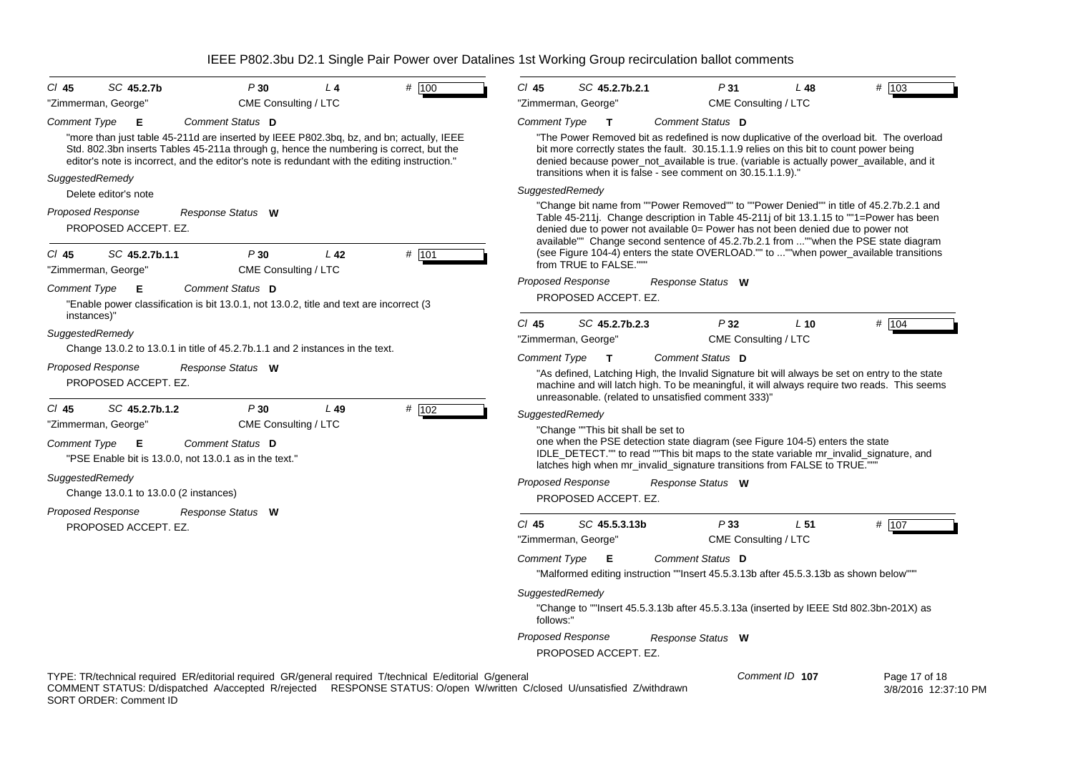| $CI$ 45                      | SC 45.2.7b                             | P30                                                                                                                                                                                                                                                                                | $L_4$                | # 100                                                                                                                                                                                                                              | $Cl$ 45                      | SC 45.2.7b.2.1                                   | P31                                                                                                                                                                                                                                                                                                                                                                                                                                                 | L48             | # 103                                 |
|------------------------------|----------------------------------------|------------------------------------------------------------------------------------------------------------------------------------------------------------------------------------------------------------------------------------------------------------------------------------|----------------------|------------------------------------------------------------------------------------------------------------------------------------------------------------------------------------------------------------------------------------|------------------------------|--------------------------------------------------|-----------------------------------------------------------------------------------------------------------------------------------------------------------------------------------------------------------------------------------------------------------------------------------------------------------------------------------------------------------------------------------------------------------------------------------------------------|-----------------|---------------------------------------|
| "Zimmerman, George"          |                                        |                                                                                                                                                                                                                                                                                    | CME Consulting / LTC |                                                                                                                                                                                                                                    |                              | "Zimmerman, George"                              | CME Consulting / LTC                                                                                                                                                                                                                                                                                                                                                                                                                                |                 |                                       |
| <b>Comment Type</b>          | E                                      | Comment Status D                                                                                                                                                                                                                                                                   |                      |                                                                                                                                                                                                                                    | Comment Type                 | $\mathbf{T}$                                     | Comment Status D                                                                                                                                                                                                                                                                                                                                                                                                                                    |                 |                                       |
| SuggestedRemedy              |                                        | "more than just table 45-211d are inserted by IEEE P802.3bq, bz, and bn; actually, IEEE<br>Std. 802.3bn inserts Tables 45-211a through g, hence the numbering is correct, but the<br>editor's note is incorrect, and the editor's note is redundant with the editing instruction." |                      |                                                                                                                                                                                                                                    |                              |                                                  | "The Power Removed bit as redefined is now duplicative of the overload bit. The overload<br>bit more correctly states the fault. 30.15.1.1.9 relies on this bit to count power being<br>denied because power_not_available is true. (variable is actually power_available, and it<br>transitions when it is false - see comment on 30.15.1.1.9)."                                                                                                   |                 |                                       |
|                              | Delete editor's note                   |                                                                                                                                                                                                                                                                                    |                      |                                                                                                                                                                                                                                    | SuggestedRemedy              |                                                  |                                                                                                                                                                                                                                                                                                                                                                                                                                                     |                 |                                       |
| Proposed Response<br>$CI$ 45 | PROPOSED ACCEPT. EZ.<br>SC 45.2.7b.1.1 | Response Status W<br>P30                                                                                                                                                                                                                                                           | L42                  | # 101                                                                                                                                                                                                                              |                              | from TRUE to FALSE."""                           | "Change bit name from ""Power Removed"" to ""Power Denied"" in title of 45.2.7b.2.1 and<br>Table 45-211. Change description in Table 45-211 of bit 13.1.15 to ""1=Power has been<br>denied due to power not available 0= Power has not been denied due to power not<br>available"" Change second sentence of 45.2.7b.2.1 from ""when the PSE state diagram<br>(see Figure 104-4) enters the state OVERLOAD."" to ""when power_available transitions |                 |                                       |
| "Zimmerman, George"          |                                        |                                                                                                                                                                                                                                                                                    | CME Consulting / LTC |                                                                                                                                                                                                                                    |                              | <b>Proposed Response</b>                         | Response Status W                                                                                                                                                                                                                                                                                                                                                                                                                                   |                 |                                       |
| <b>Comment Type</b>          | Е                                      | Comment Status D<br>"Enable power classification is bit 13.0.1, not 13.0.2, title and text are incorrect (3)                                                                                                                                                                       |                      |                                                                                                                                                                                                                                    |                              | PROPOSED ACCEPT. EZ.                             |                                                                                                                                                                                                                                                                                                                                                                                                                                                     |                 |                                       |
| instances)"                  |                                        |                                                                                                                                                                                                                                                                                    |                      |                                                                                                                                                                                                                                    | $Cl$ 45                      | SC 45.2.7b.2.3                                   | P32                                                                                                                                                                                                                                                                                                                                                                                                                                                 | $L$ 10          | # 104                                 |
| SuggestedRemedy              |                                        | Change 13.0.2 to 13.0.1 in title of 45.2.7b.1.1 and 2 instances in the text.                                                                                                                                                                                                       |                      |                                                                                                                                                                                                                                    |                              | "Zimmerman, George"                              | CME Consulting / LTC                                                                                                                                                                                                                                                                                                                                                                                                                                |                 |                                       |
| <b>Proposed Response</b>     | PROPOSED ACCEPT. EZ.                   | Response Status W                                                                                                                                                                                                                                                                  |                      |                                                                                                                                                                                                                                    | Comment Type                 | $\mathbf{T}$                                     | Comment Status D<br>"As defined, Latching High, the Invalid Signature bit will always be set on entry to the state<br>machine and will latch high. To be meaningful, it will always require two reads. This seems<br>unreasonable. (related to unsatisfied comment 333)"                                                                                                                                                                            |                 |                                       |
| $CI$ 45                      | SC 45.2.7b.1.2                         | P30                                                                                                                                                                                                                                                                                | L49                  | # 102                                                                                                                                                                                                                              | SuggestedRemedy              |                                                  |                                                                                                                                                                                                                                                                                                                                                                                                                                                     |                 |                                       |
| Comment Type                 | "Zimmerman, George"<br>Е               | Comment Status D<br>"PSE Enable bit is 13.0.0, not 13.0.1 as in the text."                                                                                                                                                                                                         | CME Consulting / LTC |                                                                                                                                                                                                                                    |                              | "Change ""This bit shall be set to               | one when the PSE detection state diagram (see Figure 104-5) enters the state<br>IDLE_DETECT."" to read ""This bit maps to the state variable mr_invalid_signature, and<br>latches high when mr_invalid_signature transitions from FALSE to TRUE.""                                                                                                                                                                                                  |                 |                                       |
| SuggestedRemedy              |                                        |                                                                                                                                                                                                                                                                                    |                      |                                                                                                                                                                                                                                    |                              | <b>Proposed Response</b>                         | Response Status W                                                                                                                                                                                                                                                                                                                                                                                                                                   |                 |                                       |
|                              | Change 13.0.1 to 13.0.0 (2 instances)  |                                                                                                                                                                                                                                                                                    |                      |                                                                                                                                                                                                                                    |                              | PROPOSED ACCEPT. EZ.                             |                                                                                                                                                                                                                                                                                                                                                                                                                                                     |                 |                                       |
| Proposed Response            |                                        | Response Status W                                                                                                                                                                                                                                                                  |                      |                                                                                                                                                                                                                                    | $Cl$ 45                      |                                                  |                                                                                                                                                                                                                                                                                                                                                                                                                                                     |                 |                                       |
|                              | PROPOSED ACCEPT. EZ.                   |                                                                                                                                                                                                                                                                                    |                      |                                                                                                                                                                                                                                    |                              | SC 45.5.3.13b<br>"Zimmerman, George"             | P33<br>CME Consulting / LTC                                                                                                                                                                                                                                                                                                                                                                                                                         | L <sub>51</sub> | # 107                                 |
|                              |                                        |                                                                                                                                                                                                                                                                                    |                      |                                                                                                                                                                                                                                    | Comment Type                 | Е                                                | Comment Status D<br>"Malformed editing instruction ""Insert 45.5.3.13b after 45.5.3.13b as shown below"""                                                                                                                                                                                                                                                                                                                                           |                 |                                       |
|                              |                                        |                                                                                                                                                                                                                                                                                    |                      |                                                                                                                                                                                                                                    | SuggestedRemedy<br>follows:" |                                                  | "Change to ""Insert 45.5.3.13b after 45.5.3.13a (inserted by IEEE Std 802.3bn-201X) as                                                                                                                                                                                                                                                                                                                                                              |                 |                                       |
|                              |                                        |                                                                                                                                                                                                                                                                                    |                      |                                                                                                                                                                                                                                    |                              | <b>Proposed Response</b><br>PROPOSED ACCEPT. EZ. | Response Status W                                                                                                                                                                                                                                                                                                                                                                                                                                   |                 |                                       |
|                              | SORT ORDER: Comment ID                 |                                                                                                                                                                                                                                                                                    |                      | TYPE: TR/technical required ER/editorial required GR/general required T/technical E/editorial G/general<br>COMMENT STATUS: D/dispatched A/accepted R/rejected RESPONSE STATUS: O/open W/written C/closed U/unsatisfied Z/withdrawn |                              |                                                  |                                                                                                                                                                                                                                                                                                                                                                                                                                                     | Comment ID 107  | Page 17 of 18<br>3/8/2016 12:37:10 PM |